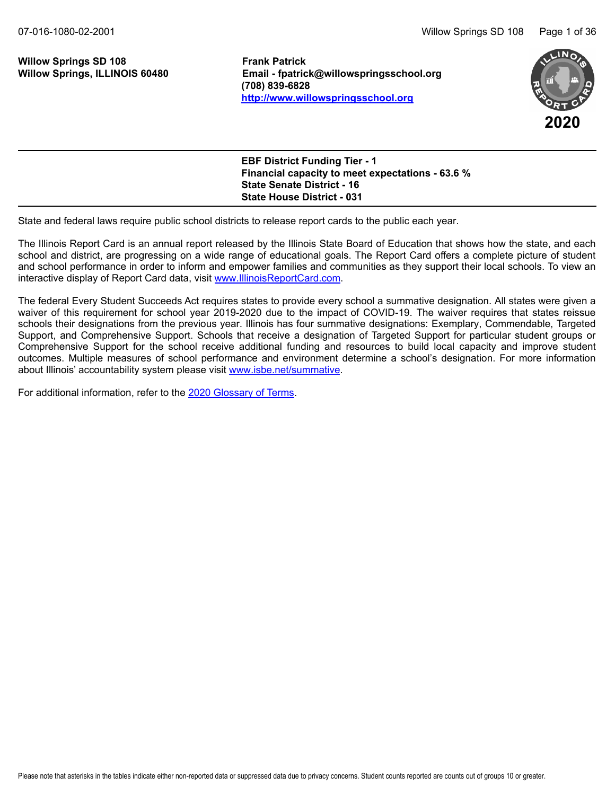# **Willow Springs SD 108 Frank Patrick**

**Email - fpatrick@willowspringsschool.org (708) 839-6828 <http://www.willowspringsschool.org>**



| <b>EBF District Funding Tier - 1</b><br><b>Financial capacity to meet expectations - 63.6 %</b> |  |
|-------------------------------------------------------------------------------------------------|--|
| <b>State Senate District - 16</b>                                                               |  |
| <b>State House District - 031</b>                                                               |  |

State and federal laws require public school districts to release report cards to the public each year.

The Illinois Report Card is an annual report released by the Illinois State Board of Education that shows how the state, and each school and district, are progressing on a wide range of educational goals. The Report Card offers a complete picture of student and school performance in order to inform and empower families and communities as they support their local schools. To view an interactive display of Report Card data, visit [www.IllinoisReportCard.com](https://www.illinoisreportcard.com/).

The federal Every Student Succeeds Act requires states to provide every school a summative designation. All states were given a waiver of this requirement for school year 2019-2020 due to the impact of COVID-19. The waiver requires that states reissue schools their designations from the previous year. Illinois has four summative designations: Exemplary, Commendable, Targeted Support, and Comprehensive Support. Schools that receive a designation of Targeted Support for particular student groups or Comprehensive Support for the school receive additional funding and resources to build local capacity and improve student outcomes. Multiple measures of school performance and environment determine a school's designation. For more information about Illinois' accountability system please visi[t www.isbe.net/summative](https://www.isbe.net/summative).

For additional information, refer to th[e 2020 Glossary of Terms](https://www.isbe.net/Documents/2020-Glossary-of-Terms.pdf).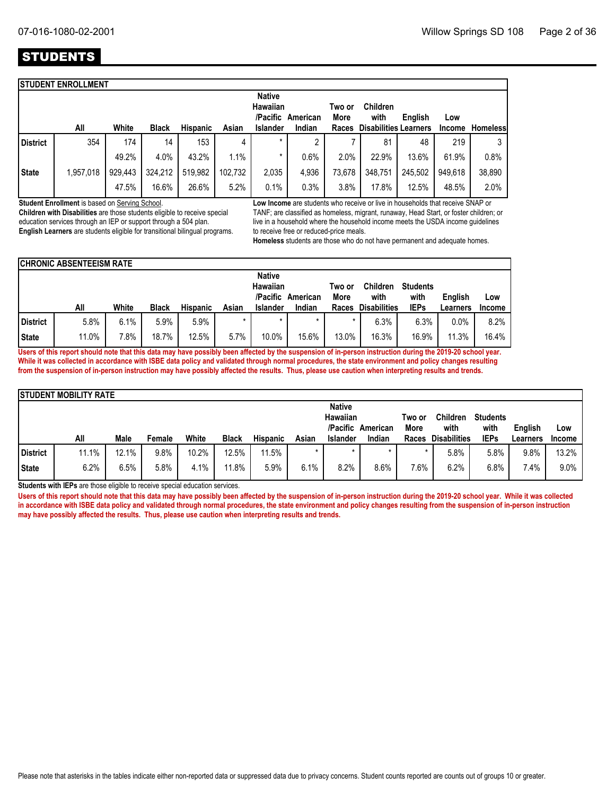## STUDENTS

|                 | <b>STUDENT ENROLLMENT</b> |         |              |                 |         |                           |                             |               |                                      |         |         |                 |
|-----------------|---------------------------|---------|--------------|-----------------|---------|---------------------------|-----------------------------|---------------|--------------------------------------|---------|---------|-----------------|
|                 |                           |         |              |                 |         | <b>Native</b><br>Hawaiian |                             | Two or        | <b>Children</b>                      |         |         |                 |
|                 | All                       | White   | <b>Black</b> | <b>Hispanic</b> | Asian   | Islander                  | /Pacific American<br>Indian | More<br>Races | with<br><b>Disabilities Learners</b> | English | Low     | <b>Homeless</b> |
|                 |                           |         |              |                 |         |                           |                             |               |                                      |         | Income  |                 |
| <b>District</b> | 354                       | 174     | 14           | 153             | 4       | $\star$                   | ∩                           |               | 81                                   | 48      | 219     | 3               |
|                 |                           | 49.2%   | 4.0%         | 43.2%           | 1.1%    | *                         | 0.6%                        | 2.0%          | 22.9%                                | 13.6%   | 61.9%   | 0.8%            |
| <b>State</b>    | 1,957,018                 | 929,443 | 324,212      | 519,982         | 102.732 | 2,035                     | 4,936                       | 73,678        | 348,751                              | 245,502 | 949.618 | 38,890          |
|                 |                           | 47.5%   | 16.6%        | 26.6%           | 5.2%    | 0.1%                      | 0.3%                        | 3.8%          | 17.8%                                | 12.5%   | 48.5%   | 2.0%            |
|                 |                           |         |              |                 |         |                           |                             |               |                                      |         |         |                 |

**Student Enrollment** is based on Serving School.

**Children with Disabilities** are those students eligible to receive special education services through an IEP or support through a 504 plan. **English Learners** are students eligible for transitional bilingual programs. **Low Income** are students who receive or live in households that receive SNAP or TANF; are classified as homeless, migrant, runaway, Head Start, or foster children; or live in a household where the household income meets the USDA income guidelines to receive free or reduced-price meals.

**Homeless** students are those who do not have permanent and adequate homes.

|                                                          | <b>CHRONIC ABSENTEEISM RATE</b> |        |              |                 |         |                 |         |                |                         |                         |          |        |  |  |
|----------------------------------------------------------|---------------------------------|--------|--------------|-----------------|---------|-----------------|---------|----------------|-------------------------|-------------------------|----------|--------|--|--|
| <b>Native</b><br><b>Hawaiian</b><br>/Pacific<br>American |                                 |        |              |                 |         |                 |         | Two or<br>More | <b>Children</b><br>with | <b>Students</b><br>with | English  | Low    |  |  |
|                                                          | All                             | White  | <b>Black</b> | <b>Hispanic</b> | Asian   | <b>Islander</b> | Indian  | Races          | <b>Disabilities</b>     | <b>IEPs</b>             | Learners | Income |  |  |
| <b>District</b>                                          | 5.8%                            | 6.1%   | 5.9%         | 5.9%            | $\star$ | $\star$         | $\star$ | $\star$        | 6.3%                    | 6.3%                    | 0.0%     | 8.2%   |  |  |
| State                                                    | 11.0%                           | $.8\%$ | 18.7%        | 12.5%           | 5.7%    | 10.0%           | 15.6%   | 13.0%          | 16.3%                   | 16.9%                   | 11.3%    | 16.4%  |  |  |

**Users of this report should note that this data may have possibly been affected by the suspension of in-person instruction during the 2019-20 school year. While it was collected in accordance with ISBE data policy and validated through normal procedures, the state environment and policy changes resulting from the suspension of in-person instruction may have possibly affected the results. Thus, please use caution when interpreting results and trends.**

|                                                                                                                               | <b>STUDENT MOBILITY RATE</b> |       |        |       |              |                 |         |                 |         |       |                     |             |          |        |
|-------------------------------------------------------------------------------------------------------------------------------|------------------------------|-------|--------|-------|--------------|-----------------|---------|-----------------|---------|-------|---------------------|-------------|----------|--------|
| <b>Native</b><br><b>Hawaiian</b><br><b>Children</b><br><b>Students</b><br>Two or<br>/Pacific American<br>with<br>with<br>More |                              |       |        |       |              |                 |         |                 | English | Low   |                     |             |          |        |
|                                                                                                                               | All                          | Male  | Female | White | <b>Black</b> | <b>Hispanic</b> | Asian   | <b>Islander</b> | Indian  | Races | <b>Disabilities</b> | <b>IEPs</b> | Learners | Income |
| District                                                                                                                      | 11.1%                        | 12.1% | 9.8%   | 10.2% | 12.5%        | 11.5%           | $\star$ | $\star$         |         |       | 5.8%                | 5.8%        | 9.8%     | 13.2%  |
| <b>State</b>                                                                                                                  | 6.2%                         | 6.5%  | 5.8%   | 4.1%  | 11.8%        | 5.9%            | 6.1%    | 8.2%            | 8.6%    | 7.6%  | 6.2%                | 6.8%        | 7.4%     | 9.0%   |

**Students with IEPs** are those eligible to receive special education services.

**Users of this report should note that this data may have possibly been affected by the suspension of in-person instruction during the 2019-20 school year. While it was collected in accordance with ISBE data policy and validated through normal procedures, the state environment and policy changes resulting from the suspension of in-person instruction may have possibly affected the results. Thus, please use caution when interpreting results and trends.**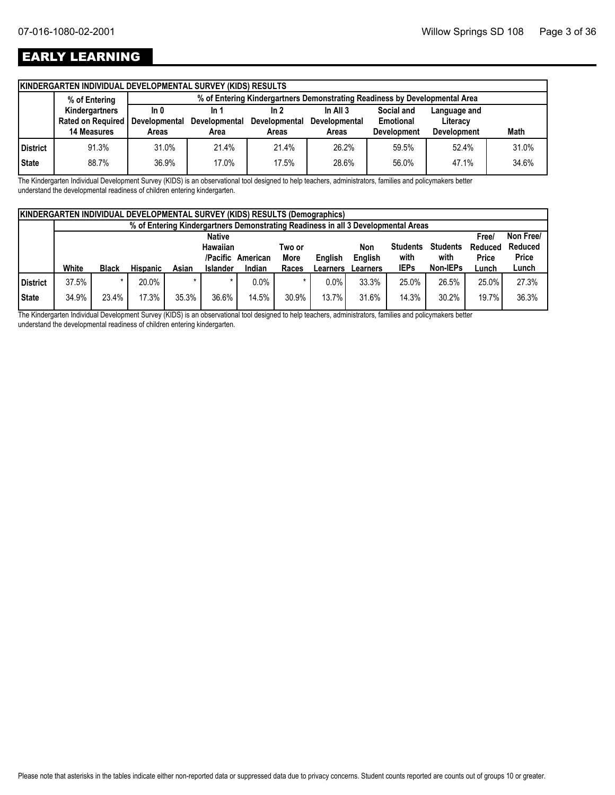## EARLY LEARNING

|              | KINDERGARTEN INDIVIDUAL DEVELOPMENTAL SURVEY (KIDS) RESULTS |       |                                                                            |               |                      |                    |                    |       |  |  |  |  |  |
|--------------|-------------------------------------------------------------|-------|----------------------------------------------------------------------------|---------------|----------------------|--------------------|--------------------|-------|--|--|--|--|--|
|              | % of Entering                                               |       | % of Entering Kindergartners Demonstrating Readiness by Developmental Area |               |                      |                    |                    |       |  |  |  |  |  |
|              | Kindergartners                                              | ln 0  | In 1                                                                       | In 2          | In All $3$           | Social and         | Language and       |       |  |  |  |  |  |
|              | Rated on Required   Developmental                           |       | <b>Developmental</b>                                                       | Developmental | <b>Developmental</b> | Emotional          | Literacy           |       |  |  |  |  |  |
|              |                                                             |       |                                                                            |               |                      |                    |                    |       |  |  |  |  |  |
|              | <b>14 Measures</b>                                          | Areas | Area                                                                       | Areas         | Areas                | <b>Development</b> | <b>Development</b> | Math  |  |  |  |  |  |
| District     | 91.3%                                                       | 31.0% | 21.4%                                                                      | 21.4%         | 26.2%                | 59.5%              | 52.4%              | 31.0% |  |  |  |  |  |
| <b>State</b> | 88.7%                                                       | 36.9% | 17.0%                                                                      | 17.5%         | 28.6%                | 56.0%              | 47.1%              | 34.6% |  |  |  |  |  |

The Kindergarten Individual Development Survey (KIDS) is an observational tool designed to help teachers, administrators, families and policymakers better understand the developmental readiness of children entering kindergarten.

|          | <b>KINDERGARTEN INDIVIDUAL DEVELOPMENTAL SURVEY (KIDS) RESULTS (Demographics)</b> |                                                                                                          |                 |       |                 |          |             |                 |                                                                                   |                 |                 |              |              |  |
|----------|-----------------------------------------------------------------------------------|----------------------------------------------------------------------------------------------------------|-----------------|-------|-----------------|----------|-------------|-----------------|-----------------------------------------------------------------------------------|-----------------|-----------------|--------------|--------------|--|
|          |                                                                                   |                                                                                                          |                 |       |                 |          |             |                 | % of Entering Kindergartners Demonstrating Readiness in all 3 Developmental Areas |                 |                 |              |              |  |
|          |                                                                                   | <b>Native</b>                                                                                            |                 |       |                 |          |             |                 |                                                                                   |                 |                 |              |              |  |
|          |                                                                                   |                                                                                                          |                 |       | Hawaiian        |          | Two or      |                 | Non                                                                               | <b>Students</b> | <b>Students</b> | Reduced      | Reduced      |  |
|          |                                                                                   |                                                                                                          |                 |       | /Pacific        | American | <b>More</b> | English         | English                                                                           | with            | with            | <b>Price</b> | <b>Price</b> |  |
|          | White                                                                             | <b>Black</b>                                                                                             | <b>Hispanic</b> | Asian | <b>Islander</b> | Indian   | Races       | <b>Learners</b> | Learners                                                                          | <b>IEPs</b>     | Non-IEPs        | Lunch        | Lunch        |  |
| District | 37.5%                                                                             | $\star$                                                                                                  | 20.0%           |       | $\star$         | $0.0\%$  |             | 0.0%            | 33.3%                                                                             | 25.0%           | 26.5%           | 25.0%        | 27.3%        |  |
| State    | 34.9%                                                                             | 36.3%<br>35.3%<br>17.3%<br>36.6%<br>31.6%<br>14.3%<br>19.7%<br>23.4%<br>14.5%<br>30.9%<br>13.7%<br>30.2% |                 |       |                 |          |             |                 |                                                                                   |                 |                 |              |              |  |

The Kindergarten Individual Development Survey (KIDS) is an observational tool designed to help teachers, administrators, families and policymakers better understand the developmental readiness of children entering kindergarten.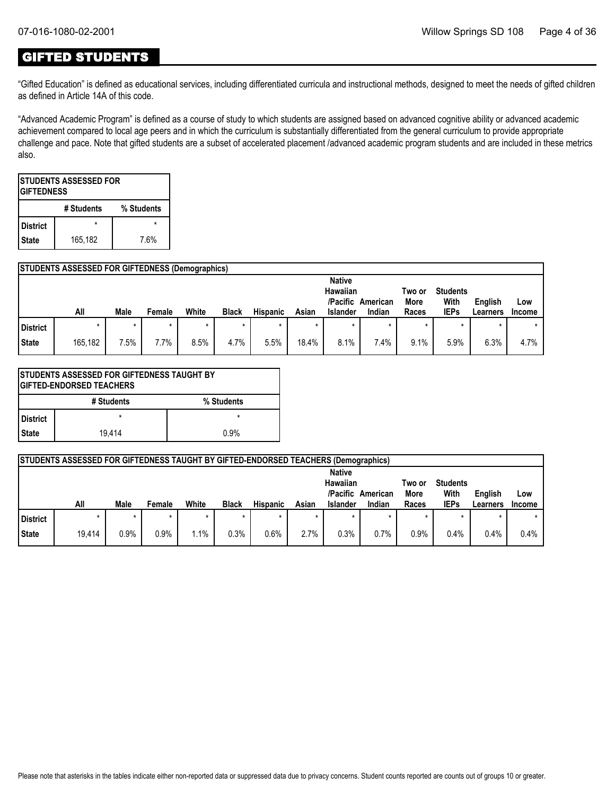### GIFTED STUDENTS

"Gifted Education" is defined as educational services, including differentiated curricula and instructional methods, designed to meet the needs of gifted children as defined in Article 14A of this code.

"Advanced Academic Program" is defined as a course of study to which students are assigned based on advanced cognitive ability or advanced academic achievement compared to local age peers and in which the curriculum is substantially differentiated from the general curriculum to provide appropriate challenge and pace. Note that gifted students are a subset of accelerated placement /advanced academic program students and are included in these metrics also.

| <b>ISTUDENTS ASSESSED FOR</b><br><b>IGIFTEDNESS</b> |                 |  |  |  |  |  |  |  |  |  |  |
|-----------------------------------------------------|-----------------|--|--|--|--|--|--|--|--|--|--|
| # Students<br>% Students                            |                 |  |  |  |  |  |  |  |  |  |  |
| <b>District</b>                                     |                 |  |  |  |  |  |  |  |  |  |  |
| <b>State</b>                                        | 165,182<br>7.6% |  |  |  |  |  |  |  |  |  |  |

#### **STUDENTS ASSESSED FOR GIFTEDNESS (Demographics)**

|          | All     | Male    | Female | White | <b>Black</b> | <b>Hispanic</b> | Asian | <b>Native</b><br>Hawaiian<br>/Pacific<br><b>Islander</b> | American<br>Indian | Two or<br>More<br>Races | <b>Students</b><br>With<br><b>IEPs</b> | English<br>Learners | Low<br><b>Income</b> |
|----------|---------|---------|--------|-------|--------------|-----------------|-------|----------------------------------------------------------|--------------------|-------------------------|----------------------------------------|---------------------|----------------------|
| District |         | $\star$ |        |       | $\star$      | $\star$         |       |                                                          |                    | *                       |                                        |                     | $\star$              |
| State    | 165,182 | 7.5%    | 7.7%   | 8.5%  | 4.7%         | 5.5%            | 18.4% | 8.1%                                                     | 7.4%               | 9.1%                    | 5.9%                                   | 6.3%                | 4.7%                 |

|              | <b>STUDENTS ASSESSED FOR GIFTEDNESS TAUGHT BY</b><br><b>GIFTED-ENDORSED TEACHERS</b> |            |  |  |  |  |  |  |  |  |  |
|--------------|--------------------------------------------------------------------------------------|------------|--|--|--|--|--|--|--|--|--|
|              | # Students                                                                           | % Students |  |  |  |  |  |  |  |  |  |
| l District   | $\star$                                                                              | $\star$    |  |  |  |  |  |  |  |  |  |
| <b>State</b> | 19.414<br>0.9%                                                                       |            |  |  |  |  |  |  |  |  |  |

|          | STUDENTS ASSESSED FOR GIFTEDNESS TAUGHT BY GIFTED-ENDORSED TEACHERS (Demographics) |      |        |       |              |                 |         |                      |          |                |                         |                |               |
|----------|------------------------------------------------------------------------------------|------|--------|-------|--------------|-----------------|---------|----------------------|----------|----------------|-------------------------|----------------|---------------|
|          |                                                                                    |      |        |       |              |                 |         | <b>Native</b>        |          |                |                         |                |               |
|          |                                                                                    |      |        |       |              |                 |         | Hawaiian<br>/Pacific | American | Two or<br>More | <b>Students</b><br>With | <b>English</b> | Low           |
|          | All                                                                                | Male | Female | White | <b>Black</b> | <b>Hispanic</b> | Asian   | <b>Islander</b>      | Indian   | Races          | <b>IEPs</b>             | Learners       | <b>Income</b> |
| District |                                                                                    |      |        |       |              |                 | $\star$ |                      |          |                |                         |                |               |
|          |                                                                                    |      |        |       |              |                 |         |                      |          |                |                         |                |               |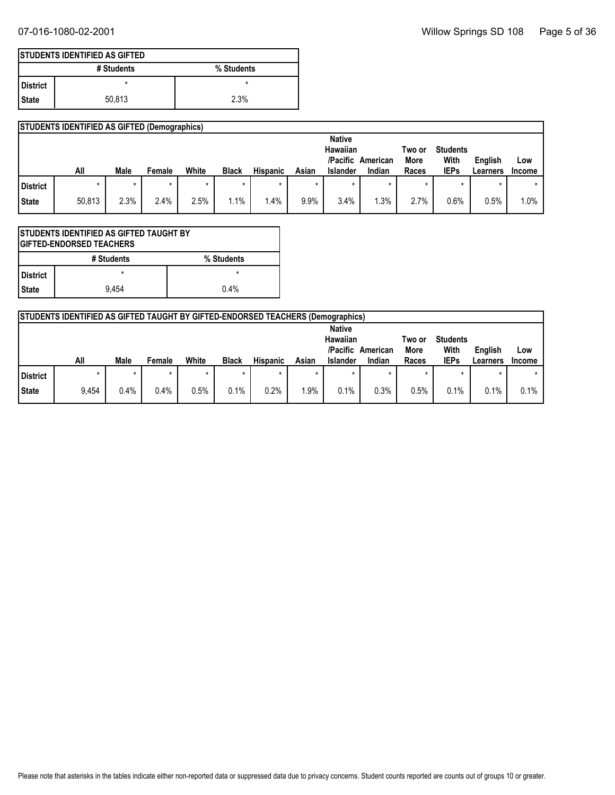|                   | <b>ISTUDENTS IDENTIFIED AS GIFTED</b> |            |
|-------------------|---------------------------------------|------------|
|                   | # Students                            | % Students |
| <b>I</b> District |                                       | ×          |
| I State           | 50.813                                | 2.3%       |

|          | <b>STUDENTS IDENTIFIED AS GIFTED (Demographics)</b> |      |        |       |              |                 |       |                                                          |                    |                         |                                        |                     |                      |
|----------|-----------------------------------------------------|------|--------|-------|--------------|-----------------|-------|----------------------------------------------------------|--------------------|-------------------------|----------------------------------------|---------------------|----------------------|
|          | All                                                 | Male | Female | White | <b>Black</b> | <b>Hispanic</b> | Asian | <b>Native</b><br>Hawaiian<br>/Pacific<br><b>Islander</b> | American<br>Indian | Two or<br>More<br>Races | <b>Students</b><br>With<br><b>IEPs</b> | English<br>Learners | Low<br><b>Income</b> |
| District |                                                     |      |        |       |              |                 |       |                                                          |                    |                         |                                        |                     | $\star$              |
| State    | 50,813                                              | 2.3% | 2.4%   | 2.5%  | 1.1%         | $1.4\%$         | 9.9%  | 3.4%                                                     | .3%                | 2.7%                    | 0.6%                                   | 0.5%                | 1.0%                 |

| ISTUDENTS IDENTIFIED AS GIFTED TAUGHT BY<br><b>IGIFTED-ENDORSED TEACHERS</b> |            |            |  |  |
|------------------------------------------------------------------------------|------------|------------|--|--|
|                                                                              | # Students | % Students |  |  |
| l District                                                                   |            |            |  |  |
| <b>State</b>                                                                 | 9.454      | 0.4%       |  |  |

|          | <b>STUDENTS IDENTIFIED AS GIFTED TAUGHT BY GIFTED-ENDORSED TEACHERS (Demographics)</b> |             |        |       |              |                 |       |                                                          |                    |                         |                                        |                     |                      |
|----------|----------------------------------------------------------------------------------------|-------------|--------|-------|--------------|-----------------|-------|----------------------------------------------------------|--------------------|-------------------------|----------------------------------------|---------------------|----------------------|
|          | All                                                                                    | <b>Male</b> | Female | White | <b>Black</b> | <b>Hispanic</b> | Asian | <b>Native</b><br>Hawaiian<br>/Pacific<br><b>Islander</b> | American<br>Indian | Two or<br>More<br>Races | <b>Students</b><br>With<br><b>IEPs</b> | English<br>Learners | Low<br><b>Income</b> |
| District |                                                                                        |             |        |       |              |                 |       |                                                          |                    | $\star$                 |                                        |                     |                      |
| State    | 9,454                                                                                  | 0.4%        | 0.4%   | 0.5%  | 0.1%         | 0.2%            | .9%   | 0.1%                                                     | 0.3%               | 0.5%                    | 0.1%                                   | 0.1%                | 0.1%                 |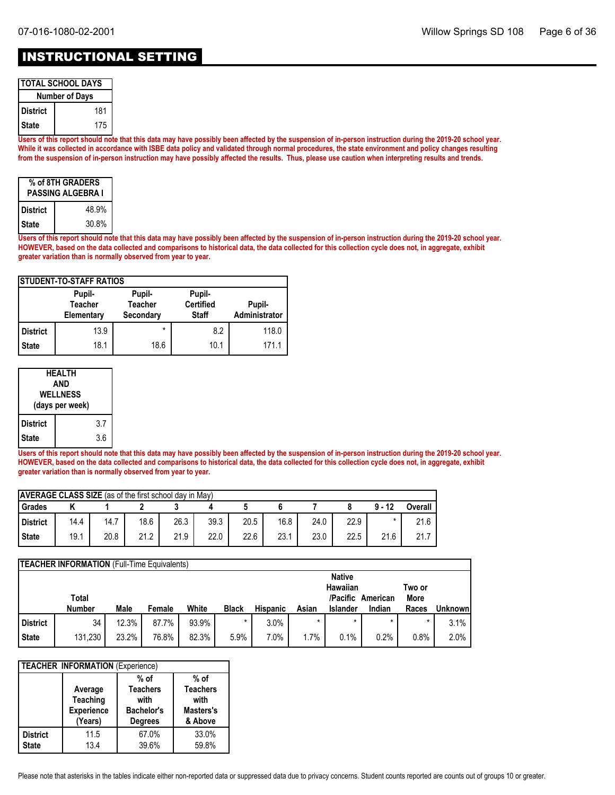### INSTRUCTIONAL SETTING

| <b>TOTAL SCHOOL DAYS</b> |     |  |  |  |
|--------------------------|-----|--|--|--|
| <b>Number of Days</b>    |     |  |  |  |
| District                 | 181 |  |  |  |
| l State                  | 175 |  |  |  |

**Users of this report should note that this data may have possibly been affected by the suspension of in-person instruction during the 2019-20 school year. While it was collected in accordance with ISBE data policy and validated through normal procedures, the state environment and policy changes resulting from the suspension of in-person instruction may have possibly affected the results. Thus, please use caution when interpreting results and trends.**

| % of 8TH GRADERS<br><b>PASSING ALGEBRA I</b> |       |  |  |  |
|----------------------------------------------|-------|--|--|--|
| <b>District</b>                              | 48.9% |  |  |  |
| <b>State</b>                                 | 30.8% |  |  |  |

**Users of this report should note that this data may have possibly been affected by the suspension of in-person instruction during the 2019-20 school year. HOWEVER, based on the data collected and comparisons to historical data, the data collected for this collection cycle does not, in aggregate, exhibit greater variation than is normally observed from year to year.**

| <b>ISTUDENT-TO-STAFF RATIOS</b> |                                        |                                       |                                            |                         |  |  |  |  |
|---------------------------------|----------------------------------------|---------------------------------------|--------------------------------------------|-------------------------|--|--|--|--|
|                                 | Pupil-<br><b>Teacher</b><br>Elementary | Pupil-<br><b>Teacher</b><br>Secondary | Pupil-<br><b>Certified</b><br><b>Staff</b> | Pupil-<br>Administrator |  |  |  |  |
| <b>District</b>                 | 13.9                                   | $\star$                               | 8.2                                        | 118.0                   |  |  |  |  |
| <b>State</b>                    | 18.1                                   | 18.6                                  | 10.1                                       | 171.1                   |  |  |  |  |

| <b>HEALTH</b><br>AND<br><b>WELLNESS</b><br>(days per week) |  |     |  |
|------------------------------------------------------------|--|-----|--|
| <b>District</b>                                            |  | 3.7 |  |
| <b>State</b>                                               |  | 3.6 |  |

**Users of this report should note that this data may have possibly been affected by the suspension of in-person instruction during the 2019-20 school year. HOWEVER, based on the data collected and comparisons to historical data, the data collected for this collection cycle does not, in aggregate, exhibit greater variation than is normally observed from year to year.**

| <b>AVERAGE CLASS SIZE</b> (as of the first school day in May) |      |      |      |      |      |      |      |      |      |          |         |
|---------------------------------------------------------------|------|------|------|------|------|------|------|------|------|----------|---------|
| Grades                                                        |      |      |      |      |      |      |      |      |      | $9 - 12$ | Overall |
| District                                                      | 14.4 | 14.7 | 18.6 | 26.3 | 39.3 | 20.5 | 16.8 | 24.0 | 22.9 |          | 21.6    |
| <b>State</b>                                                  | 19.1 | 20.8 | 21.2 | 21.9 | 22.0 | 22.6 | 23.1 | 23.0 | 22.5 | 21.6     | 21.7    |

|                 | <b>TEACHER INFORMATION</b> (Full-Time Equivalents) |       |        |       |              |                 |       |                                       |          |                |         |
|-----------------|----------------------------------------------------|-------|--------|-------|--------------|-----------------|-------|---------------------------------------|----------|----------------|---------|
|                 | Total                                              |       |        |       |              |                 |       | <b>Native</b><br>Hawaiian<br>/Pacific | American | Two or<br>More |         |
|                 | <b>Number</b>                                      | Male  | Female | White | <b>Black</b> | <b>Hispanic</b> | Asian | <b>Islander</b>                       | Indian   | Races          | Unknown |
| <b>District</b> | 34                                                 | 12.3% | 87.7%  | 93.9% |              | 3.0%            |       |                                       |          | $\star$        | 3.1%    |
| <b>State</b>    | 131,230                                            | 23.2% | 76.8%  | 82.3% | 5.9%         | $7.0\%$         | 1.7%  | 0.1%                                  | 0.2%     | 0.8%           | 2.0%    |

| <b>TEACHER INFORMATION (Experience)</b> |                                                            |                                                                          |                                                           |  |  |  |  |
|-----------------------------------------|------------------------------------------------------------|--------------------------------------------------------------------------|-----------------------------------------------------------|--|--|--|--|
|                                         | Average<br><b>Teaching</b><br><b>Experience</b><br>(Years) | $%$ of<br><b>Teachers</b><br>with<br><b>Bachelor's</b><br><b>Degrees</b> | $%$ of<br><b>Teachers</b><br>with<br>Masters's<br>& Above |  |  |  |  |
| <b>District</b><br><b>State</b>         | 11.5<br>13.4                                               | 67.0%<br>39.6%                                                           | 33.0%<br>59.8%                                            |  |  |  |  |

Please note that asterisks in the tables indicate either non-reported data or suppressed data due to privacy concerns. Student counts reported are counts out of groups 10 or greater.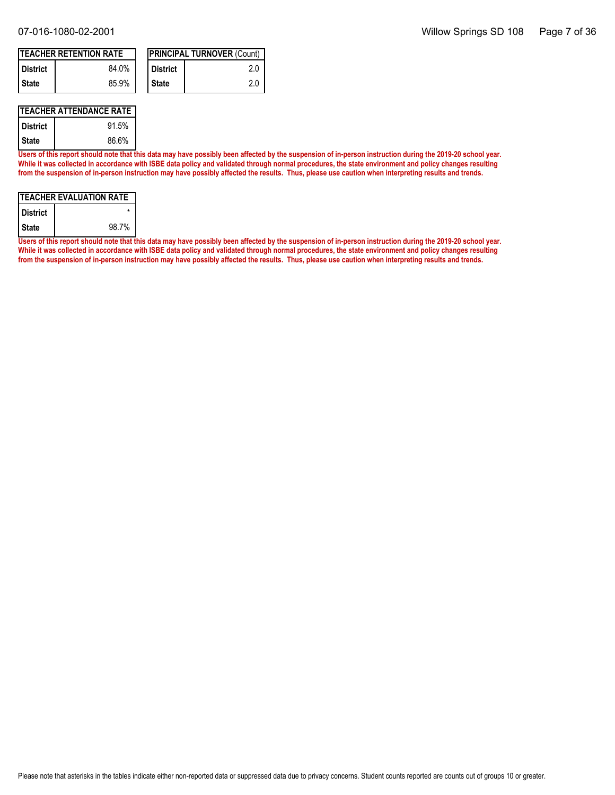| <b>ITEACHER RETENTION RATE</b> |       |  |            | <b>PRINCIPAL TURNOVER (Count)</b> |
|--------------------------------|-------|--|------------|-----------------------------------|
| <b>District</b>                | 84.0% |  | l District | 2.0                               |
| I State                        | 85.9% |  | ' State    | 2.0                               |

#### **TEACHER ATTENDANCE RATE**

| District | 91.5% |
|----------|-------|
| l State  | 86.6% |

**Users of this report should note that this data may have possibly been affected by the suspension of in-person instruction during the 2019-20 school year. While it was collected in accordance with ISBE data policy and validated through normal procedures, the state environment and policy changes resulting from the suspension of in-person instruction may have possibly affected the results. Thus, please use caution when interpreting results and trends.**

| <b>TEACHER EVALUATION RATE</b> |       |  |  |  |
|--------------------------------|-------|--|--|--|
| l District                     |       |  |  |  |
| l State                        | 98.7% |  |  |  |

**Users of this report should note that this data may have possibly been affected by the suspension of in-person instruction during the 2019-20 school year. While it was collected in accordance with ISBE data policy and validated through normal procedures, the state environment and policy changes resulting from the suspension of in-person instruction may have possibly affected the results. Thus, please use caution when interpreting results and trends.**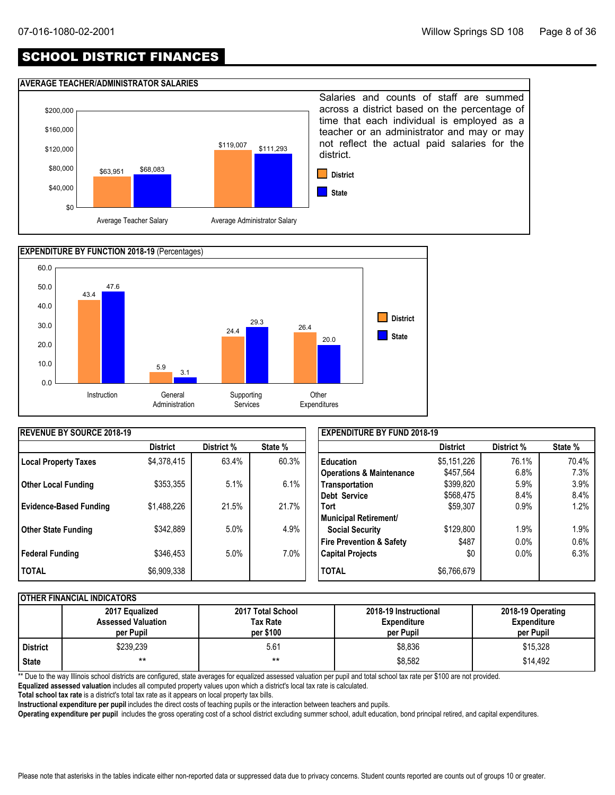### SCHOOL DISTRICT FINANCES

#### **AVERAGE TEACHER/ADMINISTRATOR SALARIES**





| <b>IREVENUE BY SOURCE 2018-19</b> |                 |            |         | <b>EXPENDITURE BY FUND 2018-19</b>  |                 |            |         |
|-----------------------------------|-----------------|------------|---------|-------------------------------------|-----------------|------------|---------|
|                                   | <b>District</b> | District % | State % |                                     | <b>District</b> | District % | State % |
| <b>Local Property Taxes</b>       | \$4,378,415     | 63.4%      | 60.3%   | <b>Education</b>                    | \$5,151,226     | 76.1%      | 70.4%   |
|                                   |                 |            |         | <b>Operations &amp; Maintenance</b> | \$457,564       | 6.8%       | 7.3%    |
| <b>Other Local Funding</b>        | \$353,355       | 5.1%       | 6.1%    | Transportation                      | \$399,820       | 5.9%       | 3.9%    |
|                                   |                 |            |         | Debt Service                        | \$568,475       | 8.4%       | 8.4%    |
| <b>Evidence-Based Funding</b>     | \$1,488,226     | 21.5%      | 21.7%   | <b>Tort</b>                         | \$59,307        | $0.9\%$    | 1.2%    |
|                                   |                 |            |         | Municipal Retirement/               |                 |            |         |
| <b>Other State Funding</b>        | \$342,889       | 5.0%       | 4.9%    | <b>Social Security</b>              | \$129,800       | $.9\%$     | 1.9%    |
|                                   |                 |            |         | <b>Fire Prevention &amp; Safety</b> | \$487           | $0.0\%$    | 0.6%    |
| Federal Funding                   | \$346,453       | 5.0%       | $7.0\%$ | <b>Capital Projects</b>             | \$0             | $0.0\%$    | 6.3%    |
| <b>TOTAL</b>                      | \$6,909,338     |            |         | <b>TOTAL</b>                        | \$6,766,679     |            |         |

#### **OTHER FINANCIAL INDICATORS**

|                 | 2017 Equalized<br><b>Assessed Valuation</b><br>per Pupil | 2017 Total School<br>Tax Rate<br>per \$100 | 2018-19 Instructional<br><b>Expenditure</b><br>per Pupil | 2018-19 Operating<br><b>Expenditure</b><br>per Pupil |
|-----------------|----------------------------------------------------------|--------------------------------------------|----------------------------------------------------------|------------------------------------------------------|
| <b>District</b> | \$239.239                                                | 5.61                                       | \$8.836                                                  | \$15,328                                             |
| <b>State</b>    | $***$                                                    | $***$                                      | \$8,582                                                  | \$14,492                                             |

\*\* Due to the way Illinois school districts are configured, state averages for equalized assessed valuation per pupil and total school tax rate per \$100 are not provided.

**Equalized assessed valuation** includes all computed property values upon which a district's local tax rate is calculated.

**Total school tax rate** is a district's total tax rate as it appears on local property tax bills.

**Instructional expenditure per pupil** includes the direct costs of teaching pupils or the interaction between teachers and pupils.

**Operating expenditure per pupil** includes the gross operating cost of a school district excluding summer school, adult education, bond principal retired, and capital expenditures.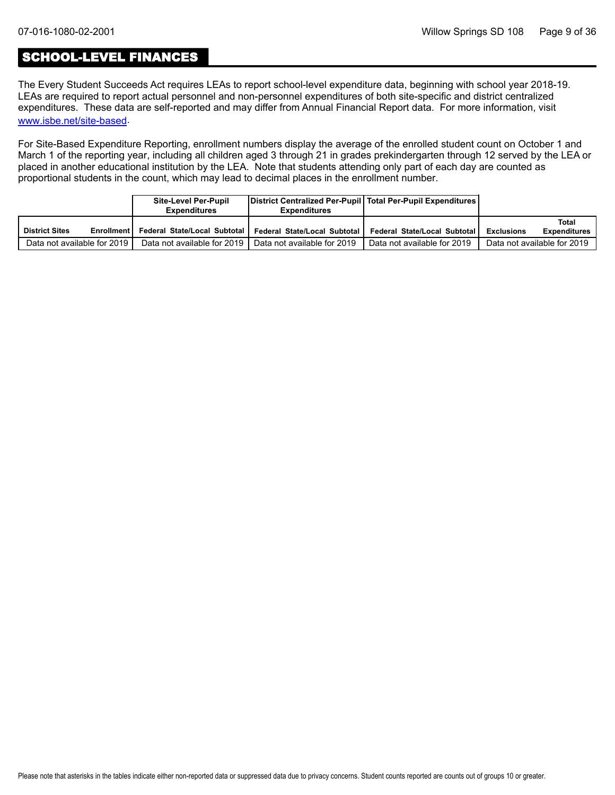### SCHOOL-LEVEL FINANCES

The Every Student Succeeds Act requires LEAs to report school-level expenditure data, beginning with school year 2018-19. LEAs are required to report actual personnel and non-personnel expenditures of both site-specific and district centralized expenditures. These data are self-reported and may differ from Annual Financial Report data. For more information, visit [www.isbe.net/site-based](https://www.isbe.net/site-based).

For Site-Based Expenditure Reporting, enrollment numbers display the average of the enrolled student count on October 1 and March 1 of the reporting year, including all children aged 3 through 21 in grades prekindergarten through 12 served by the LEA or placed in another educational institution by the LEA. Note that students attending only part of each day are counted as proportional students in the count, which may lead to decimal places in the enrollment number.

|                                            | Site-Level Per-Pupil<br>Expenditures | District Centralized Per-Pupil   Total Per-Pupil Expenditures  <br><b>Expenditures</b> |                              |                                                   |
|--------------------------------------------|--------------------------------------|----------------------------------------------------------------------------------------|------------------------------|---------------------------------------------------|
| <b>District Sites</b><br><b>Enrollment</b> | Federal State/Local Subtotal I       | Federal State/Local Subtotal                                                           | Federal State/Local Subtotal | Total<br><b>Expenditures</b><br><b>Exclusions</b> |
| Data not available for 2019                |                                      | Data not available for 2019   Data not available for 2019                              | Data not available for 2019  | Data not available for 2019                       |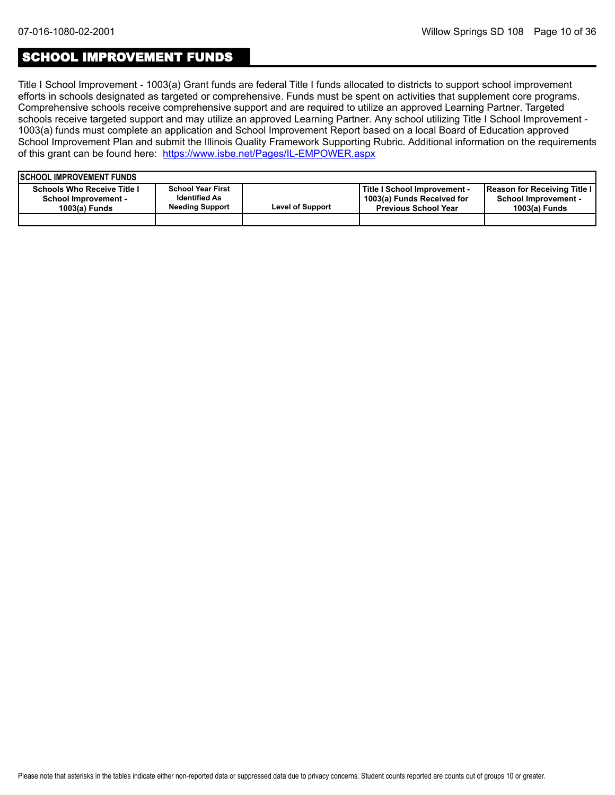### SCHOOL IMPROVEMENT FUNDS

Title I School Improvement - 1003(a) Grant funds are federal Title I funds allocated to districts to support school improvement efforts in schools designated as targeted or comprehensive. Funds must be spent on activities that supplement core programs. Comprehensive schools receive comprehensive support and are required to utilize an approved Learning Partner. Targeted schools receive targeted support and may utilize an approved Learning Partner. Any school utilizing Title I School Improvement - 1003(a) funds must complete an application and School Improvement Report based on a local Board of Education approved School Improvement Plan and submit the Illinois Quality Framework Supporting Rubric. Additional information on the requirements of this grant can be found here:<https://www.isbe.net/Pages/IL-EMPOWER.aspx>

| <b>ISCHOOL IMPROVEMENT FUNDS</b>                                                   |                                                                            |                         |                                                                                           |                                                                              |
|------------------------------------------------------------------------------------|----------------------------------------------------------------------------|-------------------------|-------------------------------------------------------------------------------------------|------------------------------------------------------------------------------|
| <b>Schools Who Receive Title I</b><br><b>School Improvement -</b><br>1003(a) Funds | <b>School Year First</b><br><b>Identified As</b><br><b>Needing Support</b> | <b>Level of Support</b> | Title I School Improvement -<br>1003(a) Funds Received for<br><b>Previous School Year</b> | Reason for Receiving Title I<br><b>School Improvement -</b><br>1003(a) Funds |
|                                                                                    |                                                                            |                         |                                                                                           |                                                                              |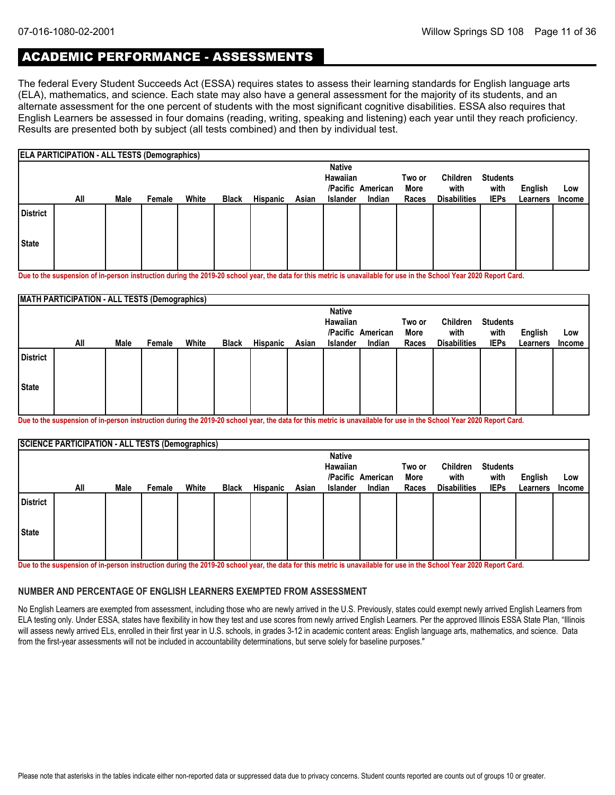### ACADEMIC PERFORMANCE - ASSESSMENTS

The federal Every Student Succeeds Act (ESSA) requires states to assess their learning standards for English language arts (ELA), mathematics, and science. Each state may also have a general assessment for the majority of its students, and an alternate assessment for the one percent of students with the most significant cognitive disabilities. ESSA also requires that English Learners be assessed in four domains (reading, writing, speaking and listening) each year until they reach proficiency. Results are presented both by subject (all tests combined) and then by individual test.

|              | ELA PARTICIPATION - ALL TESTS (Demographics) |      |        |       |              |                 |       |                                              |                             |                         |                                         |                                        |                     |               |
|--------------|----------------------------------------------|------|--------|-------|--------------|-----------------|-------|----------------------------------------------|-----------------------------|-------------------------|-----------------------------------------|----------------------------------------|---------------------|---------------|
|              | All                                          | Male | Female | White | <b>Black</b> | <b>Hispanic</b> | Asian | <b>Native</b><br>Hawaiian<br><b>Islander</b> | /Pacific American<br>Indian | Two or<br>More<br>Races | Children<br>with<br><b>Disabilities</b> | <b>Students</b><br>with<br><b>IEPs</b> | English<br>Learners | Low<br>Income |
| District     |                                              |      |        |       |              |                 |       |                                              |                             |                         |                                         |                                        |                     |               |
| <b>State</b> |                                              |      |        |       |              |                 |       |                                              |                             |                         |                                         |                                        |                     |               |

**Due to the suspension of in-person instruction during the 2019-20 school year, the data for this metric is unavailable for use in the School Year 2020 Report Card.**

|                 | <b>MATH PARTICIPATION - ALL TESTS (Demographics)</b> |      |        |       |              |          |       |                           |                             |               |                             |                     |                            |                      |
|-----------------|------------------------------------------------------|------|--------|-------|--------------|----------|-------|---------------------------|-----------------------------|---------------|-----------------------------|---------------------|----------------------------|----------------------|
|                 |                                                      |      |        |       |              |          |       | <b>Native</b><br>Hawaiian |                             | Two or        | Children                    | <b>Students</b>     |                            |                      |
|                 | All                                                  | Male | Female | White | <b>Black</b> | Hispanic | Asian | <b>Islander</b>           | /Pacific American<br>Indian | More<br>Races | with<br><b>Disabilities</b> | with<br><b>IEPs</b> | <b>English</b><br>Learners | Low<br><b>Income</b> |
| <b>District</b> |                                                      |      |        |       |              |          |       |                           |                             |               |                             |                     |                            |                      |
| State           |                                                      |      |        |       |              |          |       |                           |                             |               |                             |                     |                            |                      |
|                 |                                                      |      |        |       |              |          |       |                           |                             |               |                             |                     |                            |                      |

**Due to the suspension of in-person instruction during the 2019-20 school year, the data for this metric is unavailable for use in the School Year 2020 Report Card.**

|                 | <b>SCIENCE PARTICIPATION - ALL TESTS (Demographics)</b> |      |        |       |              |                 |       |                 |                   |        |                     |                 |          |               |
|-----------------|---------------------------------------------------------|------|--------|-------|--------------|-----------------|-------|-----------------|-------------------|--------|---------------------|-----------------|----------|---------------|
|                 |                                                         |      |        |       |              |                 |       | <b>Native</b>   |                   |        |                     |                 |          |               |
|                 |                                                         |      |        |       |              |                 |       | Hawaiian        |                   | Two or | Children            | <b>Students</b> |          |               |
|                 |                                                         |      |        |       |              |                 |       |                 | /Pacific American | More   | with                | with            | English  | Low           |
|                 | All                                                     | Male | Female | White | <b>Black</b> | <b>Hispanic</b> | Asian | <b>Islander</b> | Indian            | Races  | <b>Disabilities</b> | <b>IEPs</b>     | Learners | <b>Income</b> |
| <b>District</b> |                                                         |      |        |       |              |                 |       |                 |                   |        |                     |                 |          |               |
| <b>State</b>    |                                                         |      |        |       |              |                 |       |                 |                   |        |                     |                 |          |               |
|                 |                                                         |      |        |       |              |                 |       |                 |                   |        |                     |                 |          |               |

**Due to the suspension of in-person instruction during the 2019-20 school year, the data for this metric is unavailable for use in the School Year 2020 Report Card.**

#### **NUMBER AND PERCENTAGE OF ENGLISH LEARNERS EXEMPTED FROM ASSESSMENT**

No English Learners are exempted from assessment, including those who are newly arrived in the U.S. Previously, states could exempt newly arrived English Learners from ELA testing only. Under ESSA, states have flexibility in how they test and use scores from newly arrived English Learners. Per the approved Illinois ESSA State Plan, "Illinois will assess newly arrived ELs, enrolled in their first year in U.S. schools, in grades 3-12 in academic content areas: English language arts, mathematics, and science. Data from the first-year assessments will not be included in accountability determinations, but serve solely for baseline purposes."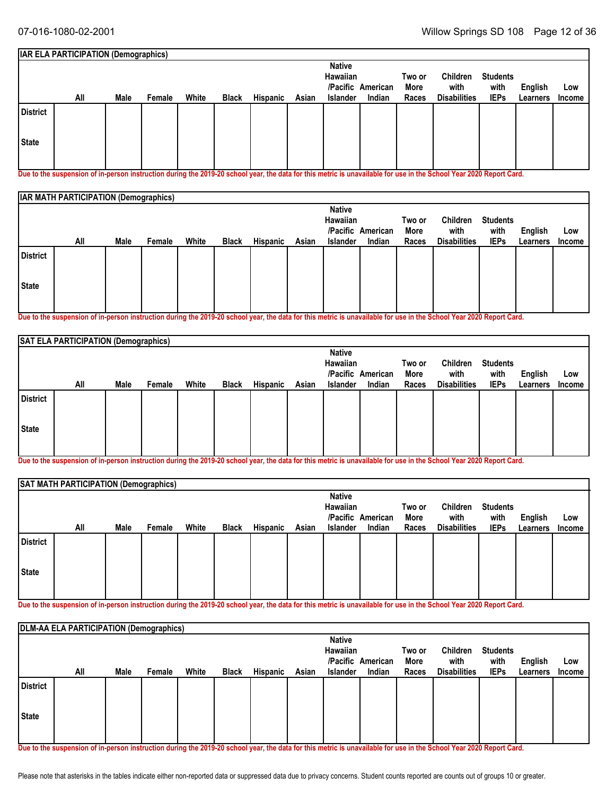|                 | IAR ELA PARTICIPATION (Demographics) |      |        |       |              |          |       |               |                   |        |                     |                 |          |        |
|-----------------|--------------------------------------|------|--------|-------|--------------|----------|-------|---------------|-------------------|--------|---------------------|-----------------|----------|--------|
|                 |                                      |      |        |       |              |          |       | <b>Native</b> |                   |        |                     |                 |          |        |
|                 |                                      |      |        |       |              |          |       | Hawaiian      |                   | Two or | Children            | <b>Students</b> |          |        |
|                 |                                      |      |        |       |              |          |       |               | /Pacific American | More   | with                | with            | English  | Low    |
|                 | All                                  | Male | Female | White | <b>Black</b> | Hispanic | Asian | Islander      | Indian            | Races  | <b>Disabilities</b> | <b>IEPs</b>     | Learners | Income |
| <b>District</b> |                                      |      |        |       |              |          |       |               |                   |        |                     |                 |          |        |
| State           |                                      |      |        |       |              |          |       |               |                   |        |                     |                 |          |        |
|                 |                                      |      |        |       |              |          |       |               |                   |        |                     |                 |          |        |

**Due to the suspension of in-person instruction during the 2019-20 school year, the data for this metric is unavailable for use in the School Year 2020 Report Card.**

| <b>IAR MATH PARTICIPATION (Demographics)</b> |     |      |        |       |              |          |       |                           |                   |        |                     |                 |          |        |
|----------------------------------------------|-----|------|--------|-------|--------------|----------|-------|---------------------------|-------------------|--------|---------------------|-----------------|----------|--------|
|                                              |     |      |        |       |              |          |       | <b>Native</b><br>Hawaiian |                   | Two or | Children            | <b>Students</b> |          |        |
|                                              |     |      |        |       |              |          |       |                           | /Pacific American | More   | with                | with            | English  | Low    |
|                                              | All | Male | Female | White | <b>Black</b> | Hispanic | Asian | <b>Islander</b>           | Indian            | Races  | <b>Disabilities</b> | <b>IEPs</b>     | Learners | Income |
| <b>District</b>                              |     |      |        |       |              |          |       |                           |                   |        |                     |                 |          |        |
| <b>State</b>                                 |     |      |        |       |              |          |       |                           |                   |        |                     |                 |          |        |
|                                              |     |      |        |       |              |          |       |                           |                   |        |                     |                 |          |        |

**Due to the suspension of in-person instruction during the 2019-20 school year, the data for this metric is unavailable for use in the School Year 2020 Report Card.**

|                 | SAT ELA PARTICIPATION (Demographics) |      |        |       |              |                 |                           |                   |                |                  |                         |                |          |        |
|-----------------|--------------------------------------|------|--------|-------|--------------|-----------------|---------------------------|-------------------|----------------|------------------|-------------------------|----------------|----------|--------|
|                 |                                      |      |        |       |              |                 | <b>Native</b><br>Hawaiian | /Pacific American | Two or<br>More | Children<br>with | <b>Students</b><br>with | <b>English</b> | Low      |        |
|                 | All                                  | Male | Female | White | <b>Black</b> | <b>Hispanic</b> | Asian                     | Islander          | Indian         | Races            | <b>Disabilities</b>     | <b>IEPs</b>    | Learners | Income |
| <b>District</b> |                                      |      |        |       |              |                 |                           |                   |                |                  |                         |                |          |        |
| State           |                                      |      |        |       |              |                 |                           |                   |                |                  |                         |                |          |        |
|                 |                                      |      |        |       |              |                 |                           |                   |                |                  |                         |                |          |        |

**Due to the suspension of in-person instruction during the 2019-20 school year, the data for this metric is unavailable for use in the School Year 2020 Report Card.**

|                 | SAT MATH PARTICIPATION (Demographics) |      |        |       |              |          |       |                                              |                             |                         |                                         |                                        |                     |                      |
|-----------------|---------------------------------------|------|--------|-------|--------------|----------|-------|----------------------------------------------|-----------------------------|-------------------------|-----------------------------------------|----------------------------------------|---------------------|----------------------|
|                 | All                                   | Male | Female | White | <b>Black</b> | Hispanic | Asian | <b>Native</b><br>Hawaiian<br><b>Islander</b> | /Pacific American<br>Indian | Two or<br>More<br>Races | Children<br>with<br><b>Disabilities</b> | <b>Students</b><br>with<br><b>IEPs</b> | English<br>Learners | Low<br><b>Income</b> |
| <b>District</b> |                                       |      |        |       |              |          |       |                                              |                             |                         |                                         |                                        |                     |                      |
| State           |                                       |      |        |       |              |          |       |                                              |                             |                         |                                         |                                        |                     |                      |

**Due to the suspension of in-person instruction during the 2019-20 school year, the data for this metric is unavailable for use in the School Year 2020 Report Card.**

|                 | <b>DLM-AA ELA PARTICIPATION (Demographics)</b> |      |        |       |              |                 |       |               |                   |        |                     |                 |          |               |  |
|-----------------|------------------------------------------------|------|--------|-------|--------------|-----------------|-------|---------------|-------------------|--------|---------------------|-----------------|----------|---------------|--|
|                 |                                                |      |        |       |              |                 |       | <b>Native</b> |                   |        |                     |                 |          |               |  |
|                 |                                                |      |        |       |              |                 |       | Hawaiian      |                   | Two or | Children            | <b>Students</b> |          |               |  |
|                 |                                                |      |        |       |              |                 |       |               | /Pacific American | More   | with                | with            | English  | Low           |  |
|                 | All                                            | Male | Female | White | <b>Black</b> | <b>Hispanic</b> | Asian | Islander      | Indian            | Races  | <b>Disabilities</b> | <b>IEPs</b>     | Learners | <b>Income</b> |  |
| <b>District</b> |                                                |      |        |       |              |                 |       |               |                   |        |                     |                 |          |               |  |
| State           |                                                |      |        |       |              |                 |       |               |                   |        |                     |                 |          |               |  |
|                 |                                                |      |        |       |              |                 |       |               |                   |        |                     |                 |          |               |  |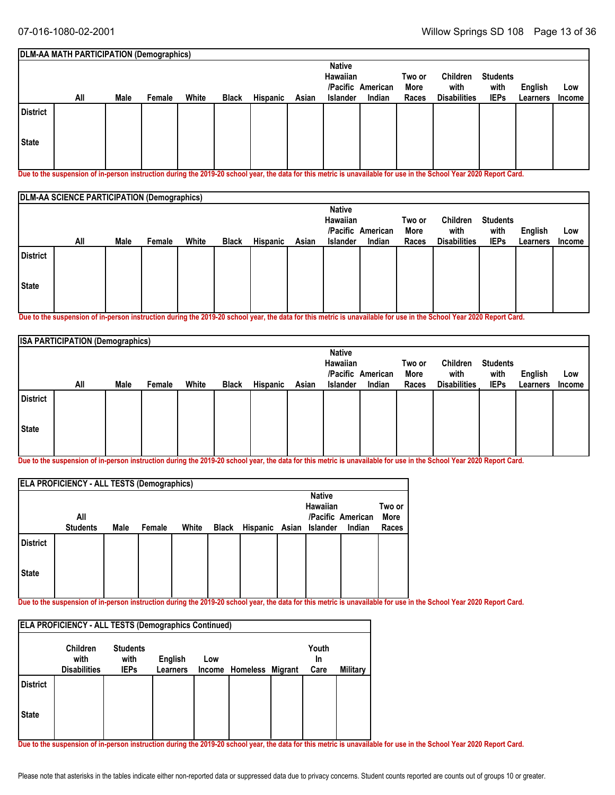|          | DLM-AA MATH PARTICIPATION (Demographics) |      |        |       |              |                 |       |                           |                   |                |                     |                         |          |               |
|----------|------------------------------------------|------|--------|-------|--------------|-----------------|-------|---------------------------|-------------------|----------------|---------------------|-------------------------|----------|---------------|
|          |                                          |      |        |       |              |                 |       | <b>Native</b><br>Hawaiian | /Pacific American | Two or<br>More | Children<br>with    | <b>Students</b><br>with | English  | Low           |
|          | All                                      | Male | Female | White | <b>Black</b> | <b>Hispanic</b> | Asian | <b>Islander</b>           | Indian            | Races          | <b>Disabilities</b> | <b>IEPs</b>             | Learners | <b>Income</b> |
| District |                                          |      |        |       |              |                 |       |                           |                   |                |                     |                         |          |               |
| State    |                                          |      |        |       |              |                 |       |                           |                   |                |                     |                         |          |               |
|          |                                          |      |        |       |              |                 |       |                           |                   |                |                     |                         |          |               |

**Due to the suspension of in-person instruction during the 2019-20 school year, the data for this metric is unavailable for use in the School Year 2020 Report Card.**

|                 | DLM-AA SCIENCE PARTICIPATION (Demographics) |      |        |       |              |          |       |                           |                   |                |                     |                         |          |               |
|-----------------|---------------------------------------------|------|--------|-------|--------------|----------|-------|---------------------------|-------------------|----------------|---------------------|-------------------------|----------|---------------|
|                 |                                             |      |        |       |              |          |       | <b>Native</b><br>Hawaiian | /Pacific American | Two or<br>More | Children<br>with    | <b>Students</b><br>with | English  | Low           |
|                 | All                                         | Male | Female | White | <b>Black</b> | Hispanic | Asian | <b>Islander</b>           | Indian            | Races          | <b>Disabilities</b> | <b>IEPs</b>             | Learners | <b>Income</b> |
| <b>District</b> |                                             |      |        |       |              |          |       |                           |                   |                |                     |                         |          |               |
| State           |                                             |      |        |       |              |          |       |                           |                   |                |                     |                         |          |               |
|                 |                                             |      |        |       |              |          |       |                           |                   |                |                     |                         |          |               |

**Due to the suspension of in-person instruction during the 2019-20 school year, the data for this metric is unavailable for use in the School Year 2020 Report Card.**

| <b>ISA PARTICIPATION (Demographics)</b> |      |        |       |              |                 |       |               |                   |             |                     |                 |                |               |
|-----------------------------------------|------|--------|-------|--------------|-----------------|-------|---------------|-------------------|-------------|---------------------|-----------------|----------------|---------------|
|                                         |      |        |       |              |                 |       | <b>Native</b> |                   |             |                     |                 |                |               |
|                                         |      |        |       |              |                 |       | Hawaiian      |                   | Two or      | Children            | <b>Students</b> |                |               |
|                                         |      |        |       |              |                 |       |               | /Pacific American | <b>More</b> | with                | with            | <b>English</b> | Low           |
| All                                     | Male | Female | White | <b>Black</b> | <b>Hispanic</b> | Asian | Islander      | Indian            | Races       | <b>Disabilities</b> | <b>IEPs</b>     | Learners       | <b>Income</b> |
| <b>District</b>                         |      |        |       |              |                 |       |               |                   |             |                     |                 |                |               |
| State                                   |      |        |       |              |                 |       |               |                   |             |                     |                 |                |               |

**Due to the suspension of in-person instruction during the 2019-20 school year, the data for this metric is unavailable for use in the School Year 2020 Report Card.**

|                 | <b>ELA PROFICIENCY - ALL TESTS (Demographics)</b> |      |        |       |              |                |               |                   |                |
|-----------------|---------------------------------------------------|------|--------|-------|--------------|----------------|---------------|-------------------|----------------|
|                 |                                                   |      |        |       |              |                | <b>Native</b> |                   |                |
|                 | All                                               |      |        |       |              |                | Hawaiian      | /Pacific American | Two or<br>More |
|                 | <b>Students</b>                                   | Male | Female | White | <b>Black</b> | Hispanic Asian | Islander      | Indian            | Races          |
| <b>District</b> |                                                   |      |        |       |              |                |               |                   |                |
| <b>State</b>    |                                                   |      |        |       |              |                |               |                   |                |
|                 |                                                   |      |        |       |              |                |               |                   |                |

**Due to the suspension of in-person instruction during the 2019-20 school year, the data for this metric is unavailable for use in the School Year 2020 Report Card.**

|                 | <b>ELA PROFICIENCY - ALL TESTS (Demographics Continued)</b> |                                        |                            |     |                         |                     |          |
|-----------------|-------------------------------------------------------------|----------------------------------------|----------------------------|-----|-------------------------|---------------------|----------|
|                 | <b>Children</b><br>with<br><b>Disabilities</b>              | <b>Students</b><br>with<br><b>IEPs</b> | English<br><b>Learners</b> | Low | Income Homeless Migrant | Youth<br>In<br>Care | Military |
| <b>District</b> |                                                             |                                        |                            |     |                         |                     |          |
| <b>State</b>    |                                                             |                                        |                            |     |                         |                     |          |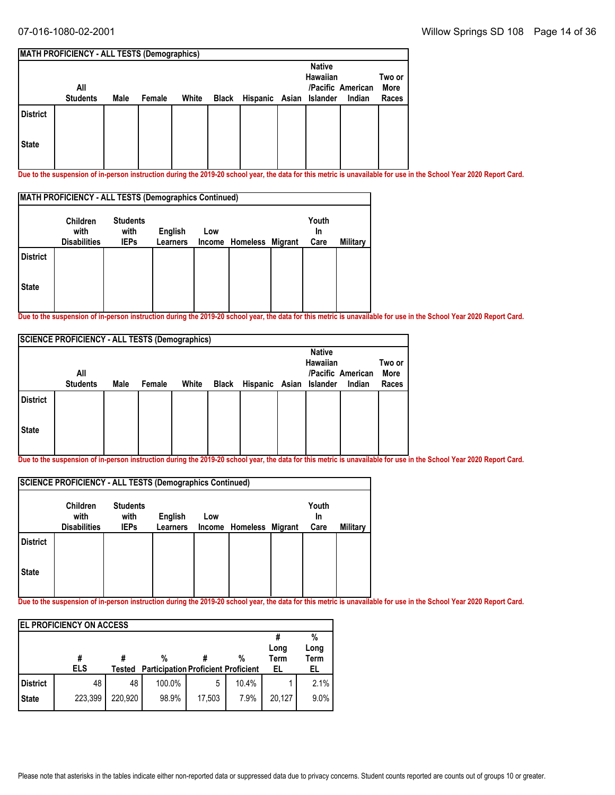|                 | <b>MATH PROFICIENCY - ALL TESTS (Demographics)</b> |      |        |       |       |                         |                           |                             |                         |
|-----------------|----------------------------------------------------|------|--------|-------|-------|-------------------------|---------------------------|-----------------------------|-------------------------|
|                 | All<br><b>Students</b>                             | Male | Female | White | Black | Hispanic Asian Islander | <b>Native</b><br>Hawaiian | /Pacific American<br>Indian | Two or<br>More<br>Races |
| <b>District</b> |                                                    |      |        |       |       |                         |                           |                             |                         |
| <b>State</b>    |                                                    |      |        |       |       |                         |                           |                             |                         |

**Due to the suspension of in-person instruction during the 2019-20 school year, the data for this metric is unavailable for use in the School Year 2020 Report Card.**

|                 | <b>MATH PROFICIENCY - ALL TESTS (Demographics Continued)</b> |                                        |                     |     |                         |  |                     |          |  |  |  |  |  |
|-----------------|--------------------------------------------------------------|----------------------------------------|---------------------|-----|-------------------------|--|---------------------|----------|--|--|--|--|--|
|                 | <b>Children</b><br>with<br><b>Disabilities</b>               | <b>Students</b><br>with<br><b>IEPs</b> | English<br>Learners | Low | Income Homeless Migrant |  | Youth<br>In<br>Care | Military |  |  |  |  |  |
| <b>District</b> |                                                              |                                        |                     |     |                         |  |                     |          |  |  |  |  |  |
| <b>State</b>    |                                                              |                                        |                     |     |                         |  |                     |          |  |  |  |  |  |

**Due to the suspension of in-person instruction during the 2019-20 school year, the data for this metric is unavailable for use in the School Year 2020 Report Card.**

|                 | <b>SCIENCE PROFICIENCY - ALL TESTS (Demographics)</b> |      |        |       |       |                         |                           |                   |                |
|-----------------|-------------------------------------------------------|------|--------|-------|-------|-------------------------|---------------------------|-------------------|----------------|
|                 | All                                                   |      |        |       |       |                         | <b>Native</b><br>Hawaiian | /Pacific American | Two or<br>More |
|                 | <b>Students</b>                                       | Male | Female | White | Black | Hispanic Asian Islander |                           | Indian            | Races          |
| <b>District</b> |                                                       |      |        |       |       |                         |                           |                   |                |
| <b>State</b>    |                                                       |      |        |       |       |                         |                           |                   |                |

**Due to the suspension of in-person instruction during the 2019-20 school year, the data for this metric is unavailable for use in the School Year 2020 Report Card.**

|                 | <b>SCIENCE PROFICIENCY - ALL TESTS (Demographics Continued)</b> |                                        |                            |               |          |                |                     |          |
|-----------------|-----------------------------------------------------------------|----------------------------------------|----------------------------|---------------|----------|----------------|---------------------|----------|
|                 | <b>Children</b><br>with<br><b>Disabilities</b>                  | <b>Students</b><br>with<br><b>IEPs</b> | <b>English</b><br>Learners | Low<br>Income | Homeless | <b>Migrant</b> | Youth<br>In<br>Care | Military |
| <b>District</b> |                                                                 |                                        |                            |               |          |                |                     |          |
| <b>State</b>    |                                                                 |                                        |                            |               |          |                |                     |          |

|                 | <b>IEL PROFICIENCY ON ACCESS</b> |         |                                                 |        |       |                           |                         |
|-----------------|----------------------------------|---------|-------------------------------------------------|--------|-------|---------------------------|-------------------------|
|                 | #<br><b>ELS</b>                  | Tested  | %<br><b>Participation Proficient Proficient</b> |        | %     | Long<br><b>Term</b><br>EL | %<br>Long<br>Term<br>EL |
| <b>District</b> | 48                               | 48      | 100.0%                                          | 5      | 10.4% |                           | 2.1%                    |
| <b>State</b>    | 223,399                          | 220.920 | 98.9%                                           | 17,503 | 7.9%  | 20,127                    | 9.0%                    |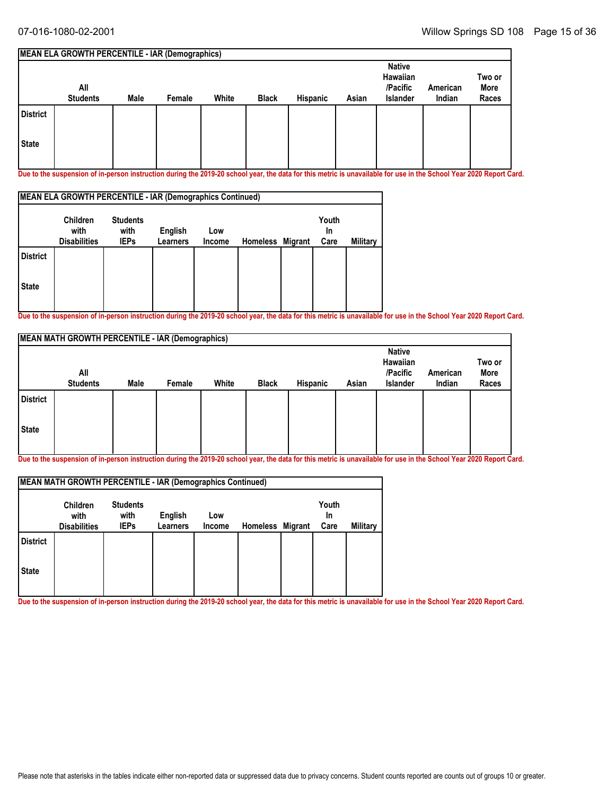#### **MEAN ELA GROWTH PERCENTILE - IAR (Demographics) All Students Native Hawaiian /Pacific Islander American Male Female White Black Hispanic Asian Indian Two or More Races State District**

**Due to the suspension of in-person instruction during the 2019-20 school year, the data for this metric is unavailable for use in the School Year 2020 Report Card.**

| MEAN ELA GROWTH PERCENTILE - IAR (Demographics Continued) |                                                |                                        |                     |               |                  |  |                     |          |  |  |  |  |
|-----------------------------------------------------------|------------------------------------------------|----------------------------------------|---------------------|---------------|------------------|--|---------------------|----------|--|--|--|--|
|                                                           | <b>Children</b><br>with<br><b>Disabilities</b> | <b>Students</b><br>with<br><b>IEPs</b> | English<br>Learners | Low<br>Income | Homeless Migrant |  | Youth<br>In<br>Care | Military |  |  |  |  |
| <b>District</b>                                           |                                                |                                        |                     |               |                  |  |                     |          |  |  |  |  |
| <b>State</b>                                              |                                                |                                        |                     |               |                  |  |                     |          |  |  |  |  |

**Due to the suspension of in-person instruction during the 2019-20 school year, the data for this metric is unavailable for use in the School Year 2020 Report Card.**

|                 | <b>MEAN MATH GROWTH PERCENTILE - IAR (Demographics)</b> |      |        |       |              |          |       |                                                   |                    |                         |  |  |  |  |
|-----------------|---------------------------------------------------------|------|--------|-------|--------------|----------|-------|---------------------------------------------------|--------------------|-------------------------|--|--|--|--|
|                 | All<br><b>Students</b>                                  | Male | Female | White | <b>Black</b> | Hispanic | Asian | <b>Native</b><br>Hawaiian<br>/Pacific<br>Islander | American<br>Indian | Two or<br>More<br>Races |  |  |  |  |
| <b>District</b> |                                                         |      |        |       |              |          |       |                                                   |                    |                         |  |  |  |  |
| <b>State</b>    |                                                         |      |        |       |              |          |       |                                                   |                    |                         |  |  |  |  |

**Due to the suspension of in-person instruction during the 2019-20 school year, the data for this metric is unavailable for use in the School Year 2020 Report Card.**

| <b>MEAN MATH GROWTH PERCENTILE - IAR (Demographics Continued)</b> |                                                |                                        |                            |               |                  |  |                     |          |
|-------------------------------------------------------------------|------------------------------------------------|----------------------------------------|----------------------------|---------------|------------------|--|---------------------|----------|
|                                                                   | <b>Children</b><br>with<br><b>Disabilities</b> | <b>Students</b><br>with<br><b>IEPs</b> | English<br><b>Learners</b> | Low<br>Income | Homeless Migrant |  | Youth<br>In<br>Care | Military |
| <b>District</b>                                                   |                                                |                                        |                            |               |                  |  |                     |          |
| <b>State</b>                                                      |                                                |                                        |                            |               |                  |  |                     |          |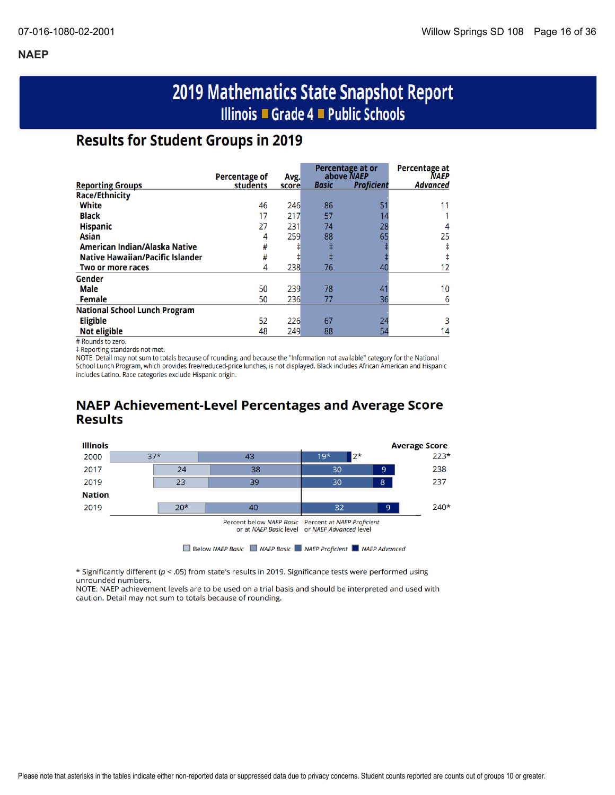# 2019 Mathematics State Snapshot Report Illinois ■ Grade 4 ■ Public Schools

# **Results for Student Groups in 2019**

|                                         | Percentage of | Avg.  |       | Percentage at or<br>above NAEP | Percentage at<br><b>NAEP</b> |
|-----------------------------------------|---------------|-------|-------|--------------------------------|------------------------------|
| <b>Reporting Groups</b>                 | students      | score | Basic | <b>Proficient</b>              | Advanced                     |
| <b>Race/Ethnicity</b>                   |               |       |       |                                |                              |
| White                                   | 46            | 246   | 86    |                                | 11                           |
| <b>Black</b>                            | 17            | 217   | 57    |                                |                              |
| <b>Hispanic</b>                         | 27            | 231   | 74    | 28                             |                              |
| <b>Asian</b>                            | 4             | 259   | 88    | 65                             | 25                           |
| American Indian/Alaska Native           | #             |       |       |                                |                              |
| <b>Native Hawaiian/Pacific Islander</b> | #             | ŧ     |       |                                |                              |
| Two or more races                       | 4             | 238   | 76    | 40                             | 12                           |
| Gender                                  |               |       |       |                                |                              |
| Male                                    | 50            | 239   | 78    |                                | 10                           |
| Female                                  | 50            | 236   | 77    | 36                             | 6                            |
| <b>National School Lunch Program</b>    |               |       |       |                                |                              |
| <b>Eligible</b>                         | 52            | 226   | 67    | 24                             |                              |
| <b>Not eligible</b>                     | 48            | 249   | 88    | 54                             | 14                           |

# Rounds to zero.

‡ Reporting standards not met.

NOTE: Detail may not sum to totals because of rounding, and because the "Information not available" category for the National School Lunch Program, which provides free/reduced-price lunches, is not displayed. Black includes African American and Hispanic includes Latino. Race categories exclude Hispanic origin.

## **NAEP Achievement-Level Percentages and Average Score Results**



\* Significantly different (p < .05) from state's results in 2019. Significance tests were performed using unrounded numbers.

NOTE: NAEP achievement levels are to be used on a trial basis and should be interpreted and used with caution. Detail may not sum to totals because of rounding.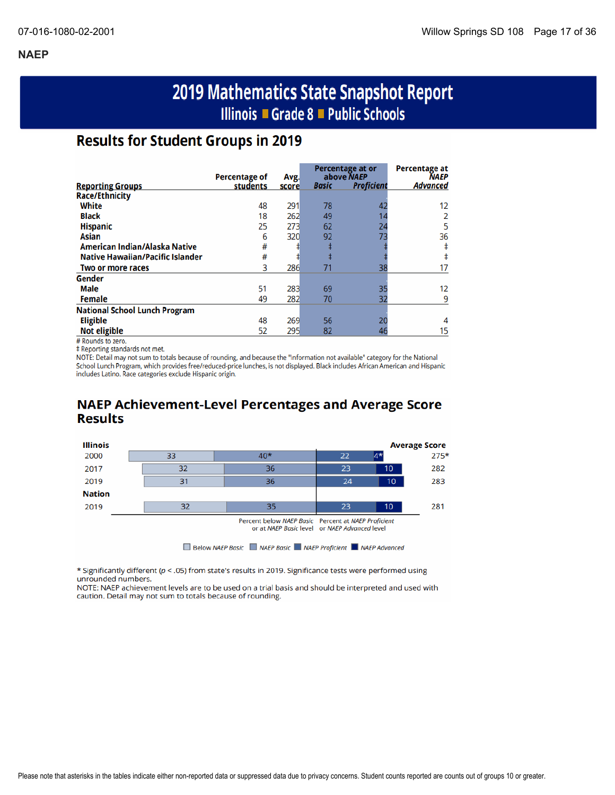# 2019 Mathematics State Snapshot Report Illinois ■ Grade 8 ■ Public Schools

# **Results for Student Groups in 2019**

|                                         | Percentage of | Avg.  |              | Percentage at or<br>above NAEP | <b>Percentage at</b><br><b>NAEP</b> |
|-----------------------------------------|---------------|-------|--------------|--------------------------------|-------------------------------------|
| <b>Reporting Groups</b>                 | students      | score | <b>Basic</b> | <b>Proficient</b>              | Advanced                            |
| <b>Race/Ethnicity</b>                   |               |       |              |                                |                                     |
| White                                   | 48            | 291   | 78           | 42                             | 12                                  |
| <b>Black</b>                            | 18            | 262   | 49           |                                |                                     |
| <b>Hispanic</b>                         | 25            | 273   | 62           | 24                             | 5                                   |
| Asian                                   | 6             | 320   | 92           | 73                             | 36                                  |
| American Indian/Alaska Native           | #             |       | ŧ            |                                |                                     |
| <b>Native Hawaiian/Pacific Islander</b> | #             |       | ŧ            |                                |                                     |
| Two or more races                       | 3             | 286   | 71           | 38                             | 17                                  |
| Gender                                  |               |       |              |                                |                                     |
| Male                                    | 51            | 283   | 69           | 35                             | 12                                  |
| <b>Female</b>                           | 49            | 282   | 70           | 32                             | q                                   |
| <b>National School Lunch Program</b>    |               |       |              |                                |                                     |
| <b>Eligible</b>                         | 48            | 269   | 56           | 20                             |                                     |
| <b>Not eligible</b>                     | 52            | 295   | 82           | 46                             | 15                                  |

# Rounds to zero.

‡ Reporting standards not met.

NOTE: Detail may not sum to totals because of rounding, and because the "Information not available" category for the National School Lunch Program, which provides free/reduced-price lunches, is not displayed. Black includes African American and Hispanic includes Latino. Race categories exclude Hispanic origin.

### **NAEP Achievement-Level Percentages and Average Score Results**



\* Significantly different ( $p <$  .05) from state's results in 2019. Significance tests were performed using unrounded numbers.

NOTE: NAEP achievement levels are to be used on a trial basis and should be interpreted and used with caution. Detail may not sum to totals because of rounding.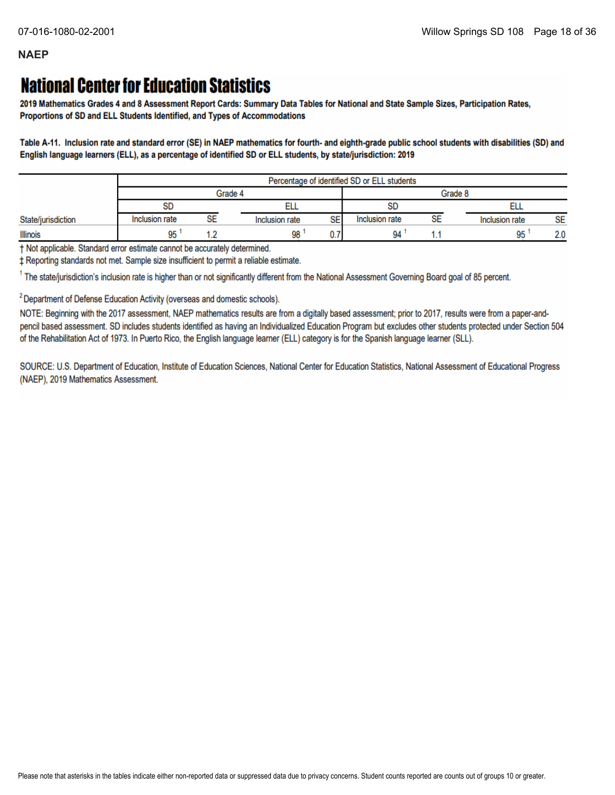# **National Center for Education Statistics**

2019 Mathematics Grades 4 and 8 Assessment Report Cards: Summary Data Tables for National and State Sample Sizes, Participation Rates, Proportions of SD and ELL Students Identified, and Types of Accommodations

Table A-11. Inclusion rate and standard error (SE) in NAEP mathematics for fourth- and eighth-grade public school students with disabilities (SD) and English language learners (ELL), as a percentage of identified SD or ELL students, by state/jurisdiction: 2019

|                    |                |    |                      | Percentage of identified SD or ELL students |    |                |     |
|--------------------|----------------|----|----------------------|---------------------------------------------|----|----------------|-----|
|                    |                |    | Grade 4              | Grade 8                                     |    |                |     |
|                    | SD             |    |                      | <b>SD</b>                                   |    |                |     |
| State/jurisdiction | Inclusion rate | SE | SE<br>Inclusion rate | Inclusion rate                              | SE | Inclusion rate | SE  |
| <b>Illinois</b>    | 95             |    | 98                   | 94                                          |    | 95             | 2.0 |

t Not applicable. Standard error estimate cannot be accurately determined.

± Reporting standards not met. Sample size insufficient to permit a reliable estimate.

<sup>1</sup> The state/jurisdiction's inclusion rate is higher than or not significantly different from the National Assessment Governing Board goal of 85 percent.

<sup>2</sup> Department of Defense Education Activity (overseas and domestic schools).

NOTE: Beginning with the 2017 assessment, NAEP mathematics results are from a digitally based assessment; prior to 2017, results were from a paper-andpencil based assessment. SD includes students identified as having an Individualized Education Program but excludes other students protected under Section 504 of the Rehabilitation Act of 1973. In Puerto Rico, the English language learner (ELL) category is for the Spanish language learner (SLL).

SOURCE: U.S. Department of Education, Institute of Education Sciences, National Center for Education Statistics, National Assessment of Educational Progress (NAEP), 2019 Mathematics Assessment.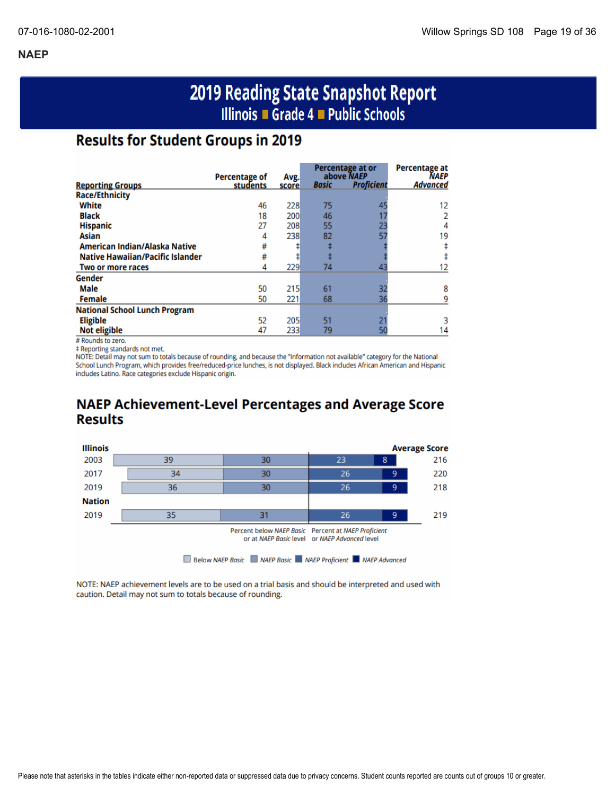# 2019 Reading State Snapshot Report Illinois ■ Grade 4 ■ Public Schools

# **Results for Student Groups in 2019**

|                                         |                                  |               |              | Percentage at or<br>above NAEP | <b>Percentage at</b><br><b>NAEP</b> |
|-----------------------------------------|----------------------------------|---------------|--------------|--------------------------------|-------------------------------------|
| <b>Reporting Groups</b>                 | <b>Percentage of</b><br>students | Avg.<br>score | <b>Basic</b> | <b>Proficient</b>              | Advanced                            |
| <b>Race/Ethnicity</b>                   |                                  |               |              |                                |                                     |
| White                                   | 46                               | 228           | 75           | 45                             | 12                                  |
| <b>Black</b>                            | 18                               | 200           | 46           |                                |                                     |
| <b>Hispanic</b>                         | 27                               | 208           | 55           | 23                             | 4                                   |
| Asian                                   | 4                                | 238           | 82           | 57                             | 19                                  |
| American Indian/Alaska Native           | #                                |               |              |                                |                                     |
| <b>Native Hawaiian/Pacific Islander</b> | #                                |               |              |                                |                                     |
| Two or more races                       | 4                                | 229           | 74           | 43                             |                                     |
| Gender                                  |                                  |               |              |                                |                                     |
| Male                                    | 50                               | 215           | 61           | 32                             | 8                                   |
| <b>Female</b>                           | 50                               | 221           | 68           | 36                             |                                     |
| <b>National School Lunch Program</b>    |                                  |               |              |                                |                                     |
| <b>Eligible</b>                         | 52                               | 205           | 51           |                                |                                     |
| <b>Not eligible</b>                     | 47                               | 233           | 79           |                                | 14                                  |

# Rounds to zero.

‡ Reporting standards not met.

NOTE: Detail may not sum to totals because of rounding, and because the "Information not available" category for the National School Lunch Program, which provides free/reduced-price lunches, is not displayed. Black includes African American and Hispanic includes Latino. Race categories exclude Hispanic origin.

# **NAEP Achievement-Level Percentages and Average Score Results**



NOTE: NAEP achievement levels are to be used on a trial basis and should be interpreted and used with caution. Detail may not sum to totals because of rounding.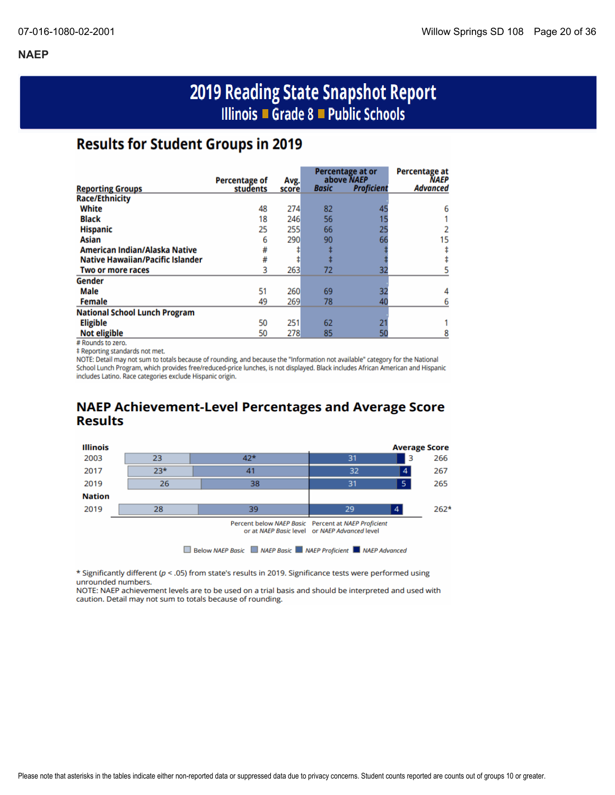# 2019 Reading State Snapshot Report Illinois ■ Grade 8 ■ Public Schools

# **Results for Student Groups in 2019**

|                                         |                                  |       |              | Percentage at or                | Percentage at           |
|-----------------------------------------|----------------------------------|-------|--------------|---------------------------------|-------------------------|
|                                         | <b>Percentage of</b><br>students | Avg.  | <b>Basic</b> | above NAEP<br><b>Proficient</b> | NAEP<br><b>Advanced</b> |
| <b>Reporting Groups</b>                 |                                  | score |              |                                 |                         |
| <b>Race/Ethnicity</b>                   |                                  |       |              |                                 |                         |
| White                                   | 48                               | 274   | 82           | 45                              | 6                       |
| <b>Black</b>                            | 18                               | 246   | 56           |                                 |                         |
| <b>Hispanic</b>                         | 25                               | 255   | 66           | 25                              |                         |
| Asian                                   | 6                                | 290   | 90           | 66                              | 15                      |
| American Indian/Alaska Native           | #                                |       |              |                                 |                         |
| <b>Native Hawaiian/Pacific Islander</b> | #                                |       |              |                                 |                         |
| Two or more races                       | 3                                | 263   | 72           | 32                              |                         |
| Gender                                  |                                  |       |              |                                 |                         |
| <b>Male</b>                             | 51                               | 260   | 69           | 32                              |                         |
| <b>Female</b>                           | 49                               | 269   | 78           | 40                              |                         |
| <b>National School Lunch Program</b>    |                                  |       |              |                                 |                         |
| <b>Eligible</b>                         | 50                               | 251   | 62           |                                 |                         |
| <b>Not eligible</b>                     | 50                               | 278   | 85           | 50                              |                         |

# Rounds to zero.

‡ Reporting standards not met.

NOTE: Detail may not sum to totals because of rounding, and because the "Information not available" category for the National School Lunch Program, which provides free/reduced-price lunches, is not displayed. Black includes African American and Hispanic includes Latino. Race categories exclude Hispanic origin.

## **NAEP Achievement-Level Percentages and Average Score Results**



\* Significantly different ( $p < .05$ ) from state's results in 2019. Significance tests were performed using unrounded numbers.

NOTE: NAEP achievement levels are to be used on a trial basis and should be interpreted and used with caution. Detail may not sum to totals because of rounding.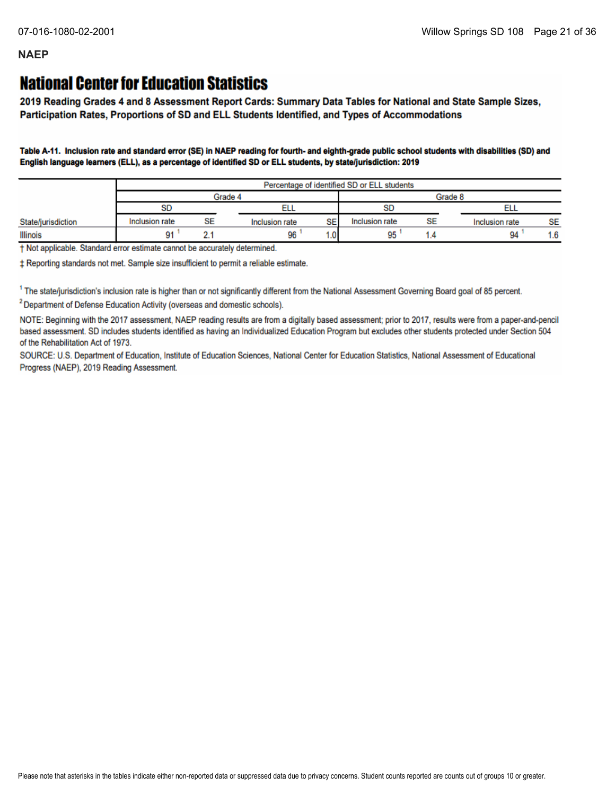# **National Center for Education Statistics**

2019 Reading Grades 4 and 8 Assessment Report Cards: Summary Data Tables for National and State Sample Sizes, Participation Rates, Proportions of SD and ELL Students Identified, and Types of Accommodations

Table A-11. Inclusion rate and standard error (SE) in NAEP reading for fourth- and eighth-grade public school students with disabilities (SD) and English language learners (ELL), as a percentage of identified SD or ELL students, by state/jurisdiction: 2019

|                    |                |         |                | Percentage of identified SD or ELL students |                |           |                |           |  |
|--------------------|----------------|---------|----------------|---------------------------------------------|----------------|-----------|----------------|-----------|--|
|                    |                | Grade 4 | Grade 8        |                                             |                |           |                |           |  |
|                    | SD             |         | ᄄᄔ             |                                             |                | <b>SD</b> |                |           |  |
| State/jurisdiction | Inclusion rate | SE      | Inclusion rate | SE                                          | Inclusion rate | SE        | Inclusion rate | <b>SE</b> |  |
| Illinois           | 91             |         | 96             | 1.0                                         | 95             |           | 94             | 1.6       |  |

† Not applicable. Standard error estimate cannot be accurately determined.

± Reporting standards not met. Sample size insufficient to permit a reliable estimate.

<sup>1</sup> The state/jurisdiction's inclusion rate is higher than or not significantly different from the National Assessment Governing Board goal of 85 percent.

<sup>2</sup> Department of Defense Education Activity (overseas and domestic schools).

NOTE: Beginning with the 2017 assessment, NAEP reading results are from a digitally based assessment; prior to 2017, results were from a paper-and-pencil based assessment. SD includes students identified as having an Individualized Education Program but excludes other students protected under Section 504 of the Rehabilitation Act of 1973.

SOURCE: U.S. Department of Education, Institute of Education Sciences, National Center for Education Statistics, National Assessment of Educational Progress (NAEP), 2019 Reading Assessment.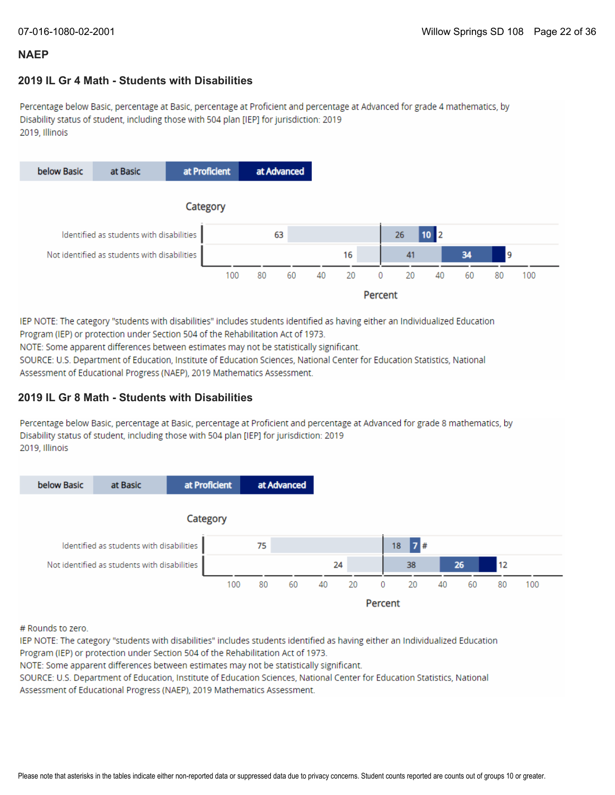### **2019 IL Gr 4 Math - Students with Disabilities**

Percentage below Basic, percentage at Basic, percentage at Proficient and percentage at Advanced for grade 4 mathematics, by Disability status of student, including those with 504 plan [IEP] for jurisdiction: 2019 2019, Illinois



IEP NOTE: The category "students with disabilities" includes students identified as having either an Individualized Education Program (IEP) or protection under Section 504 of the Rehabilitation Act of 1973.

NOTE: Some apparent differences between estimates may not be statistically significant.

SOURCE: U.S. Department of Education, Institute of Education Sciences, National Center for Education Statistics, National Assessment of Educational Progress (NAEP), 2019 Mathematics Assessment.

### **2019 IL Gr 8 Math - Students with Disabilities**

Percentage below Basic, percentage at Basic, percentage at Proficient and percentage at Advanced for grade 8 mathematics, by Disability status of student, including those with 504 plan [IEP] for jurisdiction: 2019 2019, Illinois

![](_page_21_Figure_11.jpeg)

# Rounds to zero.

IEP NOTE: The category "students with disabilities" includes students identified as having either an Individualized Education Program (IEP) or protection under Section 504 of the Rehabilitation Act of 1973.

NOTE: Some apparent differences between estimates may not be statistically significant.

SOURCE: U.S. Department of Education, Institute of Education Sciences, National Center for Education Statistics, National Assessment of Educational Progress (NAEP), 2019 Mathematics Assessment.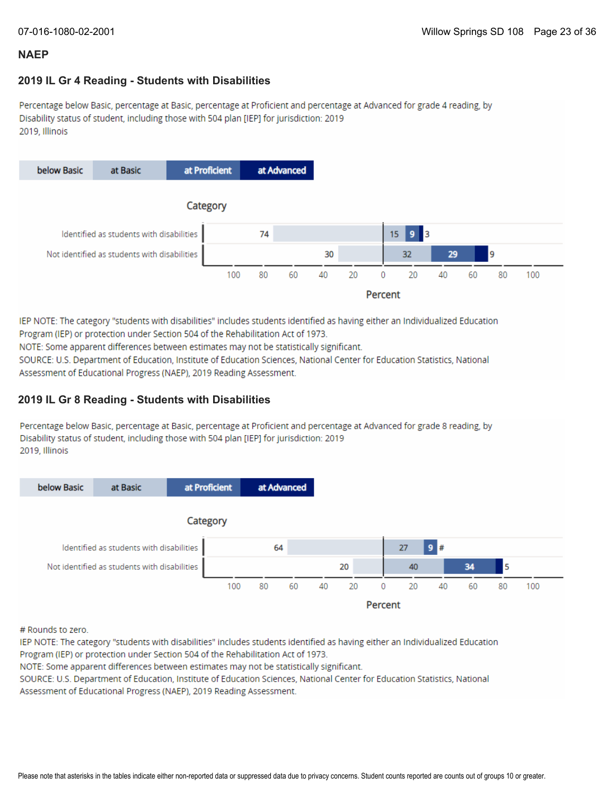### **2019 IL Gr 4 Reading - Students with Disabilities**

Percentage below Basic, percentage at Basic, percentage at Proficient and percentage at Advanced for grade 4 reading, by Disability status of student, including those with 504 plan [IEP] for jurisdiction: 2019 2019, Illinois

![](_page_22_Figure_5.jpeg)

IEP NOTE: The category "students with disabilities" includes students identified as having either an Individualized Education Program (IEP) or protection under Section 504 of the Rehabilitation Act of 1973.

NOTE: Some apparent differences between estimates may not be statistically significant.

SOURCE: U.S. Department of Education, Institute of Education Sciences, National Center for Education Statistics, National Assessment of Educational Progress (NAEP), 2019 Reading Assessment.

### **2019 IL Gr 8 Reading - Students with Disabilities**

Percentage below Basic, percentage at Basic, percentage at Proficient and percentage at Advanced for grade 8 reading, by Disability status of student, including those with 504 plan [IEP] for jurisdiction: 2019 2019, Illinois

![](_page_22_Figure_11.jpeg)

# Rounds to zero.

IEP NOTE: The category "students with disabilities" includes students identified as having either an Individualized Education Program (IEP) or protection under Section 504 of the Rehabilitation Act of 1973.

NOTE: Some apparent differences between estimates may not be statistically significant.

SOURCE: U.S. Department of Education, Institute of Education Sciences, National Center for Education Statistics, National Assessment of Educational Progress (NAEP), 2019 Reading Assessment.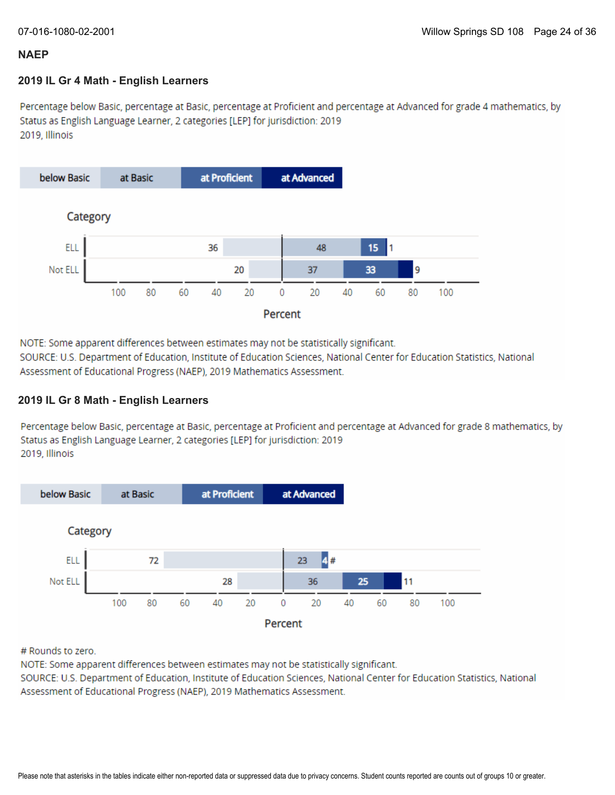### **2019 IL Gr 4 Math - English Learners**

Percentage below Basic, percentage at Basic, percentage at Proficient and percentage at Advanced for grade 4 mathematics, by Status as English Language Learner, 2 categories [LEP] for jurisdiction: 2019 2019. Illinois

![](_page_23_Figure_5.jpeg)

NOTE: Some apparent differences between estimates may not be statistically significant.

SOURCE: U.S. Department of Education, Institute of Education Sciences, National Center for Education Statistics, National Assessment of Educational Progress (NAEP), 2019 Mathematics Assessment.

### **2019 IL Gr 8 Math - English Learners**

Percentage below Basic, percentage at Basic, percentage at Proficient and percentage at Advanced for grade 8 mathematics, by Status as English Language Learner, 2 categories [LEP] for jurisdiction: 2019 2019. Illinois

![](_page_23_Figure_10.jpeg)

# Rounds to zero.

NOTE: Some apparent differences between estimates may not be statistically significant.

SOURCE: U.S. Department of Education, Institute of Education Sciences, National Center for Education Statistics, National Assessment of Educational Progress (NAEP), 2019 Mathematics Assessment.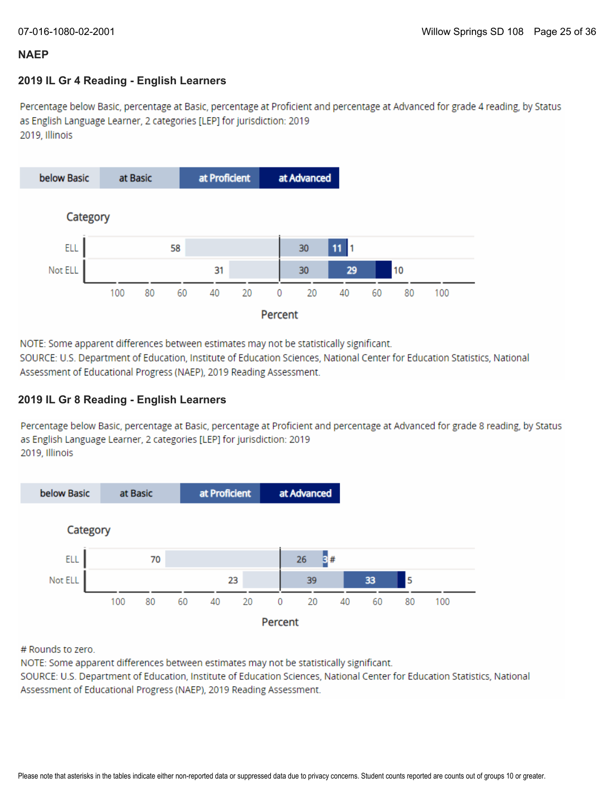### **2019 IL Gr 4 Reading - English Learners**

Percentage below Basic, percentage at Basic, percentage at Proficient and percentage at Advanced for grade 4 reading, by Status as English Language Learner, 2 categories [LEP] for jurisdiction: 2019 2019, Illinois

![](_page_24_Figure_5.jpeg)

NOTE: Some apparent differences between estimates may not be statistically significant.

SOURCE: U.S. Department of Education, Institute of Education Sciences, National Center for Education Statistics, National Assessment of Educational Progress (NAEP), 2019 Reading Assessment.

### **2019 IL Gr 8 Reading - English Learners**

Percentage below Basic, percentage at Basic, percentage at Proficient and percentage at Advanced for grade 8 reading, by Status as English Language Learner, 2 categories [LEP] for jurisdiction: 2019 2019, Illinois

![](_page_24_Figure_10.jpeg)

# Rounds to zero.

NOTE: Some apparent differences between estimates may not be statistically significant.

SOURCE: U.S. Department of Education, Institute of Education Sciences, National Center for Education Statistics, National Assessment of Educational Progress (NAEP), 2019 Reading Assessment.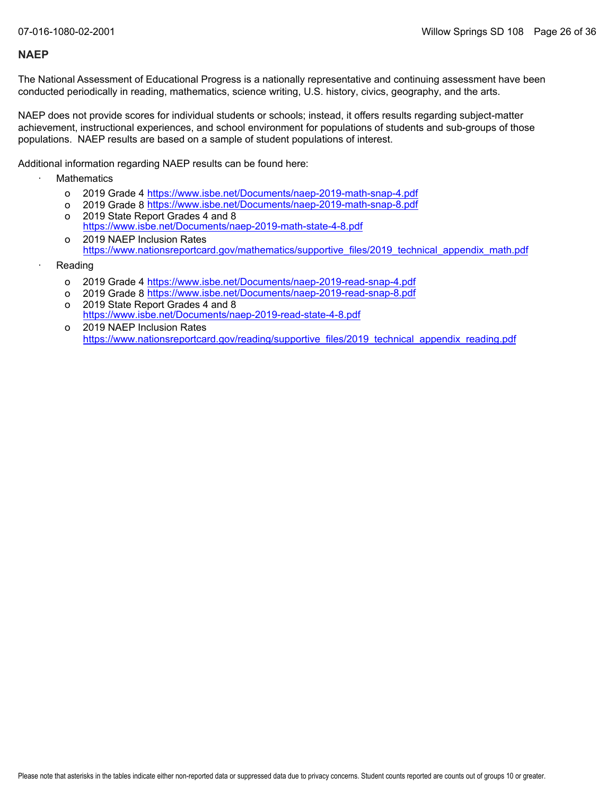The National Assessment of Educational Progress is a nationally representative and continuing assessment have been conducted periodically in reading, mathematics, science writing, U.S. history, civics, geography, and the arts.

NAEP does not provide scores for individual students or schools; instead, it offers results regarding subject-matter achievement, instructional experiences, and school environment for populations of students and sub-groups of those populations. NAEP results are based on a sample of student populations of interest.

Additional information regarding NAEP results can be found here:

- **Mathematics** 
	- o 2019 Grade 4 <u><https://www.isbe.net/Documents/naep-2019-math-snap-4.pdf></u>
	- o 2019 Grade 8 <u><https://www.isbe.net/Documents/naep-2019-math-snap-8.pdf></u>
	- o 2019 State Report Grades 4 and 8 <https://www.isbe.net/Documents/naep-2019-math-state-4-8.pdf>
	- o 2019 NAEP Inclusion Rates [https://www.nationsreportcard.gov/mathematics/supportive\\_files/2019\\_technical\\_appendix\\_math.pdf](https://www.nationsreportcard.gov/mathematics/supportive_files/2019_technical_appendix_math.pdf)
- **Reading** 
	- o 2019 Grade 4 <u><https://www.isbe.net/Documents/naep-2019-read-snap-4.pdf></u>
	- o 2019 Grade 8 <u><https://www.isbe.net/Documents/naep-2019-read-snap-8.pdf></u>
	- o 2019 State Report Grades 4 and 8 <https://www.isbe.net/Documents/naep-2019-read-state-4-8.pdf>
	- o 2019 NAEP Inclusion Rates [https://www.nationsreportcard.gov/reading/supportive\\_files/2019\\_technical\\_appendix\\_reading.pdf](https://www.nationsreportcard.gov/reading/supportive_files/2019_technical_appendix_reading.pdf)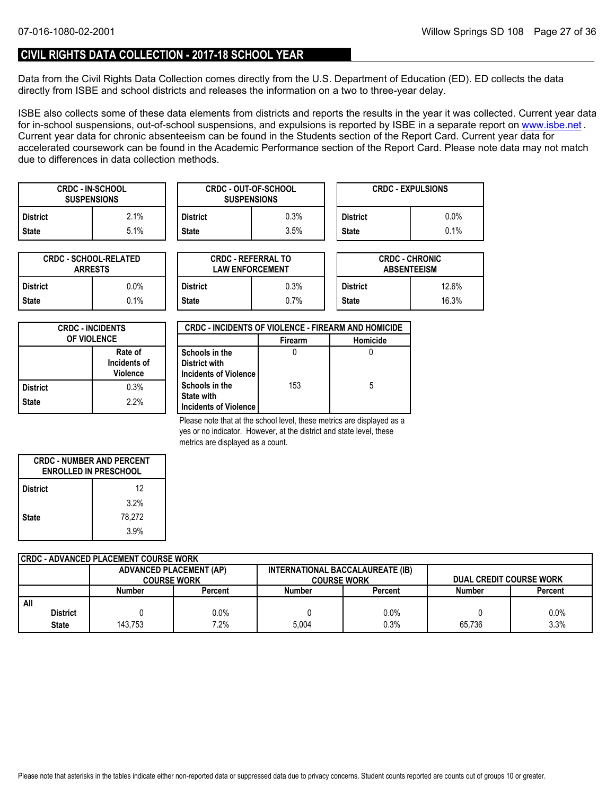### **CIVIL RIGHTS DATA COLLECTION - 2017-18 SCHOOL YEAR**

Data from the Civil Rights Data Collection comes directly from the U.S. Department of Education (ED). ED collects the data directly from ISBE and school districts and releases the information on a two to three-year delay.

ISBE also collects some of these data elements from districts and reports the results in the year it was collected. Current year data forin-school suspensions, out-of-school suspensions, and expulsions is reported by ISBE in a separate report on <u>www.isbe.net</u> . Current year data for chronic absenteeism can be found in the Students section of the Report Card. Current year data for accelerated coursework can be found in the Academic Performance section of the Report Card. Please note data may not match due to differences in data collection methods.

| <b>SUSPENSIONS</b> | <b>CRDC - IN-SCHOOL</b> |              | <b>CRDC - OUT-OF-SCHOOL</b><br><b>SUSPENSIONS</b> |                 | <b>CRDC - EXPULSIONS</b> |
|--------------------|-------------------------|--------------|---------------------------------------------------|-----------------|--------------------------|
| <b>District</b>    | $2.1\%$                 | District     | 0.3%                                              | <b>District</b> | $0.0\%$                  |
| <b>State</b>       | $5.1\%$                 | <b>State</b> | $3.5\%$                                           | <b>State</b>    | 0.1%                     |

| <b>CRDC - SCHOOL-RELATED</b><br><b>ARRESTS</b> |         |  |  |
|------------------------------------------------|---------|--|--|
| <b>District</b>                                | $0.0\%$ |  |  |
| <b>State</b>                                   | $0.1\%$ |  |  |

| TED     |                 | <b>CRDC - REFERRAL TO</b><br><b>LAW ENFORCEMENT</b> |                 | <b>CRDC - CHRONIC</b><br><b>ABSENTEEISM</b> |  |  |
|---------|-----------------|-----------------------------------------------------|-----------------|---------------------------------------------|--|--|
| 0.0%    | <b>District</b> | 0.3%                                                | <b>District</b> | 12.6%                                       |  |  |
| $0.1\%$ | <b>State</b>    | 0.7%                                                | <b>State</b>    | 16.3%                                       |  |  |

| <b>CRDC - INCIDENTS</b><br><b>OF VIOLENCE</b> |                                            |  |  |  |
|-----------------------------------------------|--------------------------------------------|--|--|--|
|                                               | Rate of<br>Incidents of<br><b>Violence</b> |  |  |  |
| <b>District</b>                               | 0.3%                                       |  |  |  |
| <b>State</b>                                  | 2.2%                                       |  |  |  |

| <b>CRDC - INCIDENTS OF VIOLENCE - FIREARM AND HOMICIDE</b> |                |          |  |  |  |  |  |
|------------------------------------------------------------|----------------|----------|--|--|--|--|--|
|                                                            | <b>Firearm</b> | Homicide |  |  |  |  |  |
| Schools in the                                             |                |          |  |  |  |  |  |
| <b>District with</b>                                       |                |          |  |  |  |  |  |
| Incidents of Violence                                      |                |          |  |  |  |  |  |
| Schools in the                                             | 153            | 5        |  |  |  |  |  |
| <b>State with</b>                                          |                |          |  |  |  |  |  |
| Incidents of Violence                                      |                |          |  |  |  |  |  |

Please note that at the school level, these metrics are displayed as a yes or no indicator. However, at the district and state level, these metrics are displayed as a count.

| <b>CRDC - NUMBER AND PERCENT</b><br><b>ENROLLED IN PRESCHOOL</b> |        |  |  |  |  |
|------------------------------------------------------------------|--------|--|--|--|--|
| <b>District</b>                                                  | 12     |  |  |  |  |
|                                                                  | 3.2%   |  |  |  |  |
| <b>State</b>                                                     | 78.272 |  |  |  |  |
|                                                                  | 3.9%   |  |  |  |  |

| CRDC - ADVANCED PLACEMENT COURSE WORK |         |                                |                                  |                    |        |                                |  |
|---------------------------------------|---------|--------------------------------|----------------------------------|--------------------|--------|--------------------------------|--|
|                                       |         | <b>ADVANCED PLACEMENT (AP)</b> | INTERNATIONAL BACCALAUREATE (IB) |                    |        |                                |  |
|                                       |         | <b>COURSE WORK</b>             |                                  | <b>COURSE WORK</b> |        | <b>DUAL CREDIT COURSE WORK</b> |  |
|                                       | Number  | Percent                        | <b>Number</b>                    | Percent            | Number | Percent                        |  |
| All                                   |         |                                |                                  |                    |        |                                |  |
| <b>District</b>                       |         | $0.0\%$                        |                                  | 0.0%               |        | 0.0%                           |  |
| <b>State</b>                          | 143.753 | 7.2%                           | 5.004                            | 0.3%               | 65.736 | 3.3%                           |  |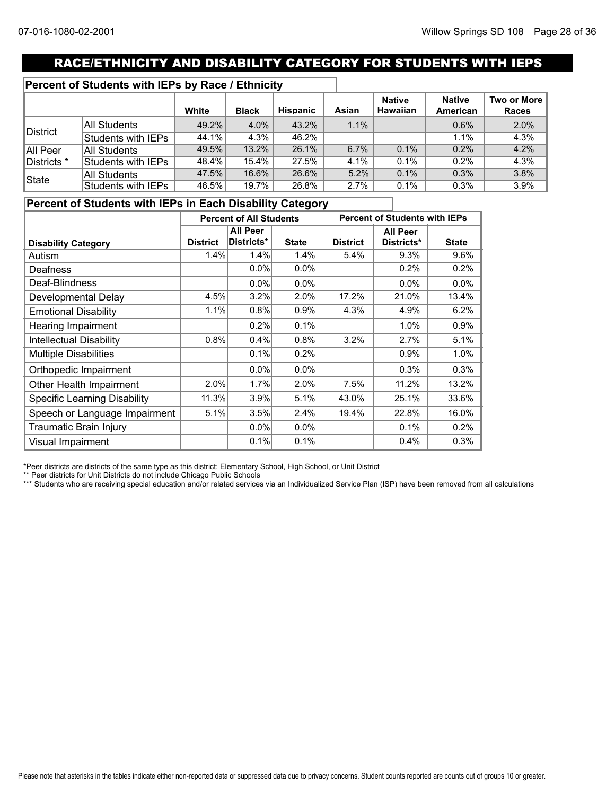# RACE/ETHNICITY AND DISABILITY CATEGORY FOR STUDENTS WITH IEPS

### **Percent of Students with IEPs by Race / Ethnicity**

|              |                     | White | <b>Black</b> | Hispanic | Asian | <b>Native</b><br><b>Hawaiian</b> | <b>Native</b><br>American | Two or More<br><b>Races</b> |
|--------------|---------------------|-------|--------------|----------|-------|----------------------------------|---------------------------|-----------------------------|
|              | All Students        | 49.2% | 4.0%         | 43.2%    | 1.1%  |                                  | 0.6%                      | 2.0%                        |
| District     | Students with IEPs  | 44.1% | 4.3%         | 46.2%    |       |                                  | 1.1%                      | 4.3%                        |
| All Peer     | <b>All Students</b> | 49.5% | 13.2%        | 26.1%    | 6.7%  | 0.1%                             | 0.2%                      | 4.2%                        |
| Districts *  | Students with IEPs  | 48.4% | 15.4%        | 27.5%    | 4.1%  | $0.1\%$                          | 0.2%                      | 4.3%                        |
| <b>State</b> | <b>All Students</b> | 47.5% | 16.6%        | 26.6%    | 5.2%  | 0.1%                             | 0.3%                      | 3.8%                        |
|              | Students with IEPs  | 46.5% | 19.7%        | 26.8%    | 2.7%  | 0.1%                             | 0.3%                      | 3.9%                        |

### **Percent of Students with IEPs in Each Disability Category**

|                                     | <b>Percent of All Students</b> |                 | <b>Percent of Students with IEPs</b> |                 |                 |              |  |
|-------------------------------------|--------------------------------|-----------------|--------------------------------------|-----------------|-----------------|--------------|--|
|                                     |                                | <b>All Peer</b> |                                      |                 | <b>All Peer</b> |              |  |
| <b>Disability Category</b>          | <b>District</b>                | Districts*      | <b>State</b>                         | <b>District</b> | Districts*      | <b>State</b> |  |
| Autism                              | 1.4%                           | 1.4%            | 1.4%                                 | 5.4%            | 9.3%            | 9.6%         |  |
| Deafness                            |                                | $0.0\%$         | 0.0%                                 |                 | 0.2%            | 0.2%         |  |
| Deaf-Blindness                      |                                | $0.0\%$         | $0.0\%$                              |                 | $0.0\%$         | 0.0%         |  |
| Developmental Delay                 | 4.5%                           | 3.2%            | 2.0%                                 | 17.2%           | 21.0%           | 13.4%        |  |
| <b>Emotional Disability</b>         | 1.1%                           | 0.8%            | 0.9%                                 | 4.3%            | 4.9%            | 6.2%         |  |
| <b>Hearing Impairment</b>           |                                | 0.2%            | 0.1%                                 |                 | 1.0%            | 0.9%         |  |
| <b>Intellectual Disability</b>      | 0.8%                           | 0.4%            | 0.8%                                 | 3.2%            | 2.7%            | 5.1%         |  |
| <b>Multiple Disabilities</b>        |                                | 0.1%            | 0.2%                                 |                 | 0.9%            | 1.0%         |  |
| Orthopedic Impairment               |                                | $0.0\%$         | $0.0\%$                              |                 | 0.3%            | 0.3%         |  |
| Other Health Impairment             | 2.0%                           | 1.7%            | 2.0%                                 | 7.5%            | 11.2%           | 13.2%        |  |
| <b>Specific Learning Disability</b> | 11.3%                          | 3.9%            | 5.1%                                 | 43.0%           | 25.1%           | 33.6%        |  |
| Speech or Language Impairment       | 5.1%                           | 3.5%            | 2.4%                                 | 19.4%           | 22.8%           | 16.0%        |  |
| Traumatic Brain Injury              |                                | $0.0\%$         | 0.0%                                 |                 | 0.1%            | 0.2%         |  |
| Visual Impairment                   |                                | 0.1%            | 0.1%                                 |                 | 0.4%            | 0.3%         |  |

\*Peer districts are districts of the same type as this district: Elementary School, High School, or Unit District

\*\* Peer districts for Unit Districts do not include Chicago Public Schools

\*\*\* Students who are receiving special education and/or related services via an Individualized Service Plan (ISP) have been removed from all calculations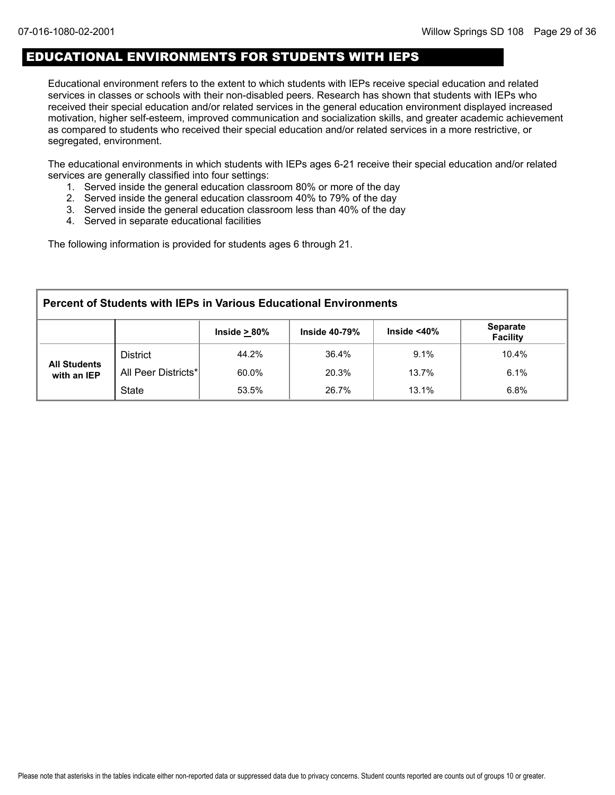### EDUCATIONAL ENVIRONMENTS FOR STUDENTS WITH IEPS

Educational environment refers to the extent to which students with IEPs receive special education and related services in classes or schools with their non-disabled peers. Research has shown that students with IEPs who received their special education and/or related services in the general education environment displayed increased motivation, higher self-esteem, improved communication and socialization skills, and greater academic achievement as compared to students who received their special education and/or related services in a more restrictive, or segregated, environment.

The educational environments in which students with IEPs ages 6-21 receive their special education and/or related services are generally classified into four settings:

- 1. Served inside the general education classroom 80% or more of the day
- 2. Served inside the general education classroom 40% to 79% of the day
- 3. Served inside the general education classroom less than 40% of the day
- 4. Served in separate educational facilities

The following information is provided for students ages 6 through 21.

| <b>Percent of Students with IEPs in Various Educational Environments</b> |                     |                    |                      |                    |                                    |  |  |
|--------------------------------------------------------------------------|---------------------|--------------------|----------------------|--------------------|------------------------------------|--|--|
|                                                                          |                     | Inside $\geq 80\%$ | <b>Inside 40-79%</b> | Inside $<$ 40 $\%$ | <b>Separate</b><br><b>Facility</b> |  |  |
|                                                                          | <b>District</b>     | 44.2%              | 36.4%                | 9.1%               | 10.4%                              |  |  |
| <b>All Students</b><br>with an IEP                                       | All Peer Districts* | 60.0%              | 20.3%                | 13.7%              | 6.1%                               |  |  |
|                                                                          | <b>State</b>        | 53.5%              | 26.7%                | 13.1%              | 6.8%                               |  |  |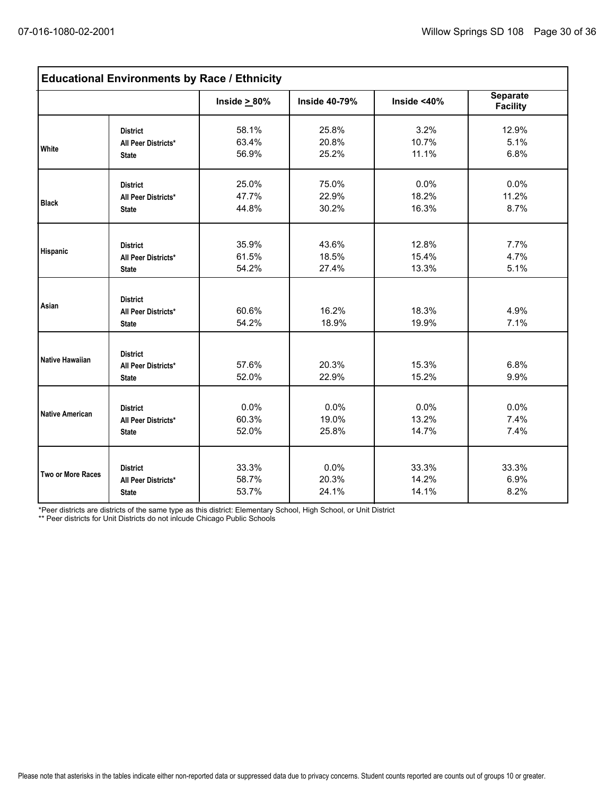| <b>Educational Environments by Race / Ethnicity</b> |                                                        |                    |                      |                |                                    |  |  |
|-----------------------------------------------------|--------------------------------------------------------|--------------------|----------------------|----------------|------------------------------------|--|--|
|                                                     |                                                        | Inside $\geq 80\%$ | <b>Inside 40-79%</b> | Inside $<$ 40% | <b>Separate</b><br><b>Facility</b> |  |  |
| White                                               | <b>District</b>                                        | 58.1%              | 25.8%                | 3.2%           | 12.9%                              |  |  |
|                                                     | All Peer Districts*                                    | 63.4%              | 20.8%                | 10.7%          | 5.1%                               |  |  |
|                                                     | <b>State</b>                                           | 56.9%              | 25.2%                | 11.1%          | 6.8%                               |  |  |
| <b>Black</b>                                        | <b>District</b>                                        | 25.0%              | 75.0%                | 0.0%           | 0.0%                               |  |  |
|                                                     | All Peer Districts*                                    | 47.7%              | 22.9%                | 18.2%          | 11.2%                              |  |  |
|                                                     | <b>State</b>                                           | 44.8%              | 30.2%                | 16.3%          | 8.7%                               |  |  |
| Hispanic                                            | <b>District</b>                                        | 35.9%              | 43.6%                | 12.8%          | 7.7%                               |  |  |
|                                                     | All Peer Districts*                                    | 61.5%              | 18.5%                | 15.4%          | 4.7%                               |  |  |
|                                                     | <b>State</b>                                           | 54.2%              | 27.4%                | 13.3%          | 5.1%                               |  |  |
| Asian                                               | <b>District</b><br>All Peer Districts*<br><b>State</b> | 60.6%<br>54.2%     | 16.2%<br>18.9%       | 18.3%<br>19.9% | 4.9%<br>7.1%                       |  |  |
| <b>Native Hawaiian</b>                              | <b>District</b><br>All Peer Districts*<br><b>State</b> | 57.6%<br>52.0%     | 20.3%<br>22.9%       | 15.3%<br>15.2% | 6.8%<br>9.9%                       |  |  |
| <b>Native American</b>                              | <b>District</b>                                        | 0.0%               | 0.0%                 | 0.0%           | 0.0%                               |  |  |
|                                                     | All Peer Districts*                                    | 60.3%              | 19.0%                | 13.2%          | 7.4%                               |  |  |
|                                                     | <b>State</b>                                           | 52.0%              | 25.8%                | 14.7%          | 7.4%                               |  |  |
| Two or More Races                                   | <b>District</b>                                        | 33.3%              | 0.0%                 | 33.3%          | 33.3%                              |  |  |
|                                                     | All Peer Districts*                                    | 58.7%              | 20.3%                | 14.2%          | 6.9%                               |  |  |
|                                                     | <b>State</b>                                           | 53.7%              | 24.1%                | 14.1%          | 8.2%                               |  |  |

\*Peer districts are districts of the same type as this district: Elementary School, High School, or Unit District

\*\* Peer districts for Unit Districts do not inlcude Chicago Public Schools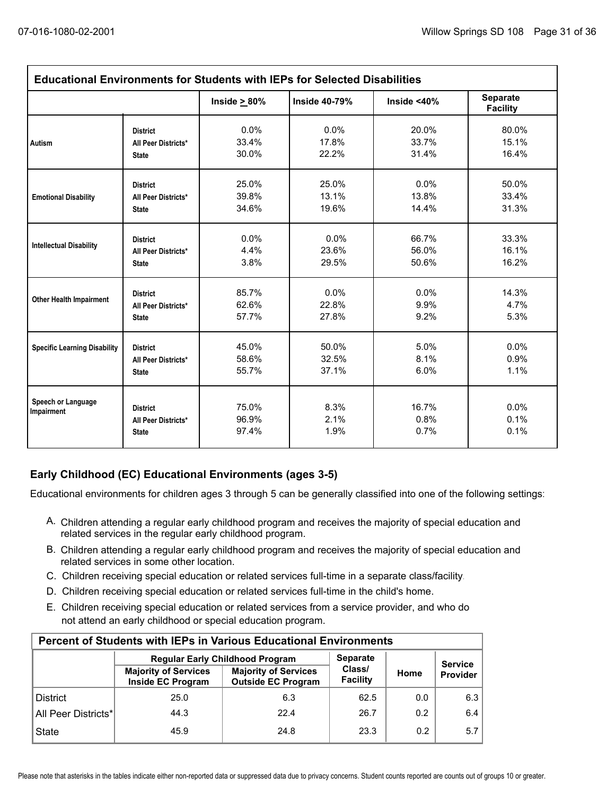| <b>Educational Environments for Students with IEPs for Selected Disabilities</b> |                                                        |                         |                      |                       |                                    |  |  |  |
|----------------------------------------------------------------------------------|--------------------------------------------------------|-------------------------|----------------------|-----------------------|------------------------------------|--|--|--|
|                                                                                  |                                                        | Inside $\geq 80\%$      | <b>Inside 40-79%</b> | Inside $<$ 40%        | <b>Separate</b><br><b>Facility</b> |  |  |  |
| Autism                                                                           | <b>District</b>                                        | 0.0%                    | 0.0%                 | 20.0%                 | 80.0%                              |  |  |  |
|                                                                                  | All Peer Districts*                                    | 33.4%                   | 17.8%                | 33.7%                 | 15.1%                              |  |  |  |
|                                                                                  | <b>State</b>                                           | 30.0%                   | 22.2%                | 31.4%                 | 16.4%                              |  |  |  |
| <b>Emotional Disability</b>                                                      | <b>District</b>                                        | 25.0%                   | 25.0%                | $0.0\%$               | 50.0%                              |  |  |  |
|                                                                                  | All Peer Districts*                                    | 39.8%                   | 13.1%                | 13.8%                 | 33.4%                              |  |  |  |
|                                                                                  | <b>State</b>                                           | 34.6%                   | 19.6%                | 14.4%                 | 31.3%                              |  |  |  |
| <b>Intellectual Disability</b>                                                   | <b>District</b>                                        | 0.0%                    | 0.0%                 | 66.7%                 | 33.3%                              |  |  |  |
|                                                                                  | All Peer Districts*                                    | 4.4%                    | 23.6%                | 56.0%                 | 16.1%                              |  |  |  |
|                                                                                  | <b>State</b>                                           | 3.8%                    | 29.5%                | 50.6%                 | 16.2%                              |  |  |  |
| <b>Other Health Impairment</b>                                                   | <b>District</b>                                        | 85.7%                   | 0.0%                 | 0.0%                  | 14.3%                              |  |  |  |
|                                                                                  | All Peer Districts*                                    | 62.6%                   | 22.8%                | 9.9%                  | 4.7%                               |  |  |  |
|                                                                                  | <b>State</b>                                           | 57.7%                   | 27.8%                | 9.2%                  | 5.3%                               |  |  |  |
| <b>Specific Learning Disability</b>                                              | <b>District</b>                                        | 45.0%                   | 50.0%                | 5.0%                  | $0.0\%$                            |  |  |  |
|                                                                                  | All Peer Districts*                                    | 58.6%                   | 32.5%                | 8.1%                  | 0.9%                               |  |  |  |
|                                                                                  | <b>State</b>                                           | 55.7%                   | 37.1%                | 6.0%                  | 1.1%                               |  |  |  |
| Speech or Language<br>Impairment                                                 | <b>District</b><br>All Peer Districts*<br><b>State</b> | 75.0%<br>96.9%<br>97.4% | 8.3%<br>2.1%<br>1.9% | 16.7%<br>0.8%<br>0.7% | $0.0\%$<br>0.1%<br>0.1%            |  |  |  |

### **Early Childhood (EC) Educational Environments (ages 3-5)**

Educational environments for children ages 3 through 5 can be generally classified into one of the following settings:

- A. Children attending a regular early childhood program and receives the majority of special education and related services in the regular early childhood program.
- B. Children attending a regular early childhood program and receives the majority of special education and related services in some other location.
- C. Children receiving special education or related services full-time in a separate class/facility.
- D. Children receiving special education or related services full-time in the child's home.
- E. Children receiving special education or related services from a service provider, and who do not attend an early childhood or special education program.

| <b>Percent of Students with IEPs in Various Educational Environments</b> |                                                  |                                                          |                    |                |          |  |  |  |  |
|--------------------------------------------------------------------------|--------------------------------------------------|----------------------------------------------------------|--------------------|----------------|----------|--|--|--|--|
|                                                                          | <b>Regular Early Childhood Program</b>           | <b>Separate</b>                                          |                    | <b>Service</b> |          |  |  |  |  |
|                                                                          | <b>Majority of Services</b><br>Inside EC Program | <b>Majority of Services</b><br><b>Outside EC Program</b> | Class/<br>Facility | Home           | Provider |  |  |  |  |
| <b>District</b>                                                          | 25.0                                             | 6.3                                                      | 62.5               | 0.0            | 6.3      |  |  |  |  |
| All Peer Districts*                                                      | 44.3                                             | 22.4                                                     | 26.7               | 0.2            | 6.4      |  |  |  |  |
| <b>State</b>                                                             | 45.9                                             | 24.8                                                     | 23.3               | 0.2            | 5.7      |  |  |  |  |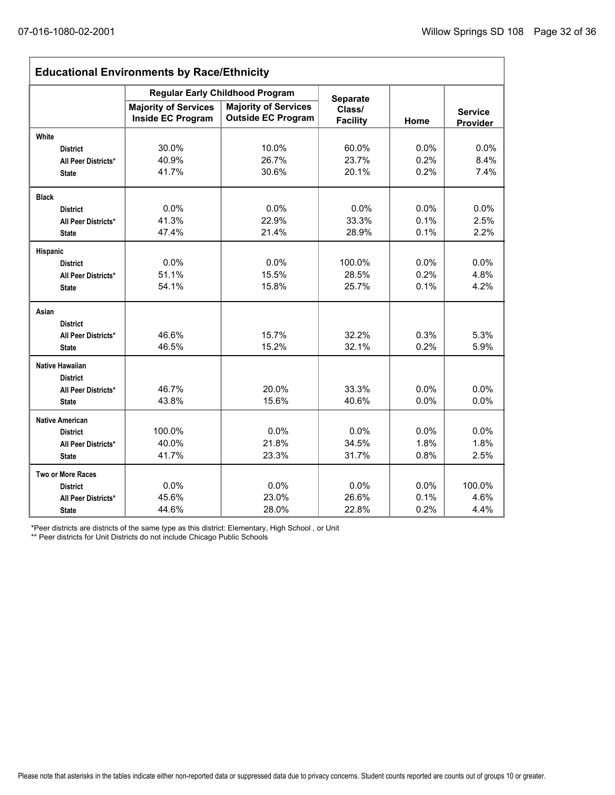| <b>Educational Environments by Race/Ethnicity</b> |                                                         |                                                          |                           |      |                            |  |  |
|---------------------------------------------------|---------------------------------------------------------|----------------------------------------------------------|---------------------------|------|----------------------------|--|--|
|                                                   |                                                         | <b>Regular Early Childhood Program</b>                   | <b>Separate</b>           |      |                            |  |  |
|                                                   | <b>Majority of Services</b><br><b>Inside EC Program</b> | <b>Majority of Services</b><br><b>Outside EC Program</b> | Class/<br><b>Facility</b> | Home | <b>Service</b><br>Provider |  |  |
| White                                             |                                                         |                                                          |                           |      |                            |  |  |
| <b>District</b>                                   | 30.0%                                                   | 10.0%                                                    | 60.0%                     | 0.0% | 0.0%                       |  |  |
| All Peer Districts*                               | 40.9%                                                   | 26.7%                                                    | 23.7%                     | 0.2% | 8.4%                       |  |  |
| <b>State</b>                                      | 41.7%                                                   | 30.6%                                                    | 20.1%                     | 0.2% | 7.4%                       |  |  |
| <b>Black</b>                                      |                                                         |                                                          |                           |      |                            |  |  |
| <b>District</b>                                   | 0.0%                                                    | 0.0%                                                     | 0.0%                      | 0.0% | 0.0%                       |  |  |
| All Peer Districts*                               | 41.3%                                                   | 22.9%                                                    | 33.3%                     | 0.1% | 2.5%                       |  |  |
| <b>State</b>                                      | 47.4%                                                   | 21.4%                                                    | 28.9%                     | 0.1% | 2.2%                       |  |  |
| Hispanic                                          |                                                         |                                                          |                           |      |                            |  |  |
| <b>District</b>                                   | 0.0%                                                    | 0.0%                                                     | 100.0%                    | 0.0% | 0.0%                       |  |  |
| All Peer Districts*                               | 51.1%                                                   | 15.5%                                                    | 28.5%                     | 0.2% | 4.8%                       |  |  |
| <b>State</b>                                      | 54.1%                                                   | 15.8%                                                    | 25.7%                     | 0.1% | 4.2%                       |  |  |
| Asian                                             |                                                         |                                                          |                           |      |                            |  |  |
| <b>District</b>                                   |                                                         |                                                          |                           |      |                            |  |  |
| All Peer Districts*                               | 46.6%                                                   | 15.7%                                                    | 32.2%                     | 0.3% | 5.3%                       |  |  |
| <b>State</b>                                      | 46.5%                                                   | 15.2%                                                    | 32.1%                     | 0.2% | 5.9%                       |  |  |
| <b>Native Hawaiian</b>                            |                                                         |                                                          |                           |      |                            |  |  |
| <b>District</b>                                   |                                                         |                                                          |                           |      |                            |  |  |
| All Peer Districts*                               | 46.7%                                                   | 20.0%                                                    | 33.3%                     | 0.0% | 0.0%                       |  |  |
| <b>State</b>                                      | 43.8%                                                   | 15.6%                                                    | 40.6%                     | 0.0% | 0.0%                       |  |  |
| <b>Native American</b>                            |                                                         |                                                          |                           |      |                            |  |  |
| <b>District</b>                                   | 100.0%                                                  | 0.0%                                                     | 0.0%                      | 0.0% | 0.0%                       |  |  |
| All Peer Districts*                               | 40.0%                                                   | 21.8%                                                    | 34.5%                     | 1.8% | 1.8%                       |  |  |
| <b>State</b>                                      | 41.7%                                                   | 23.3%                                                    | 31.7%                     | 0.8% | 2.5%                       |  |  |
| <b>Two or More Races</b>                          |                                                         |                                                          |                           |      |                            |  |  |
| <b>District</b>                                   | 0.0%                                                    | 0.0%                                                     | 0.0%                      | 0.0% | 100.0%                     |  |  |
| All Peer Districts*                               | 45.6%                                                   | 23.0%                                                    | 26.6%                     | 0.1% | 4.6%                       |  |  |
| <b>State</b>                                      | 44.6%                                                   | 28.0%                                                    | 22.8%                     | 0.2% | 4.4%                       |  |  |

\*Peer districts are districts of the same type as this district: Elementary, High School , or Unit

\*\* Peer districts for Unit Districts do not include Chicago Public Schools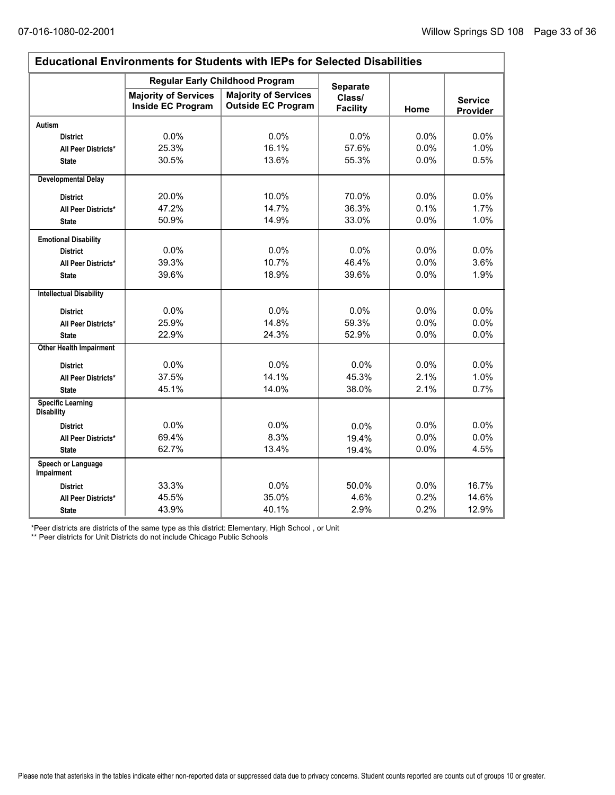$\Gamma$ 

| <b>Educational Environments for Students with IEPs for Selected Disabilities</b> |                                                  |                                                          |                           |      |                            |  |  |  |
|----------------------------------------------------------------------------------|--------------------------------------------------|----------------------------------------------------------|---------------------------|------|----------------------------|--|--|--|
|                                                                                  |                                                  | <b>Regular Early Childhood Program</b>                   | <b>Separate</b>           |      |                            |  |  |  |
|                                                                                  | <b>Majority of Services</b><br>Inside EC Program | <b>Majority of Services</b><br><b>Outside EC Program</b> | Class/<br><b>Facility</b> | Home | <b>Service</b><br>Provider |  |  |  |
| <b>Autism</b>                                                                    |                                                  |                                                          |                           |      |                            |  |  |  |
| <b>District</b>                                                                  | 0.0%                                             | 0.0%                                                     | 0.0%                      | 0.0% | 0.0%                       |  |  |  |
| All Peer Districts*                                                              | 25.3%                                            | 16.1%                                                    | 57.6%                     | 0.0% | 1.0%                       |  |  |  |
| <b>State</b>                                                                     | 30.5%                                            | 13.6%                                                    | 55.3%                     | 0.0% | 0.5%                       |  |  |  |
| <b>Developmental Delay</b>                                                       |                                                  |                                                          |                           |      |                            |  |  |  |
| <b>District</b>                                                                  | 20.0%                                            | 10.0%                                                    | 70.0%                     | 0.0% | 0.0%                       |  |  |  |
| All Peer Districts*                                                              | 47.2%                                            | 14.7%                                                    | 36.3%                     | 0.1% | 1.7%                       |  |  |  |
| <b>State</b>                                                                     | 50.9%                                            | 14.9%                                                    | 33.0%                     | 0.0% | 1.0%                       |  |  |  |
| <b>Emotional Disability</b>                                                      |                                                  |                                                          |                           |      |                            |  |  |  |
| <b>District</b>                                                                  | 0.0%                                             | 0.0%                                                     | 0.0%                      | 0.0% | 0.0%                       |  |  |  |
| All Peer Districts*                                                              | 39.3%                                            | 10.7%                                                    | 46.4%                     | 0.0% | 3.6%                       |  |  |  |
| <b>State</b>                                                                     | 39.6%                                            | 18.9%                                                    | 39.6%                     | 0.0% | 1.9%                       |  |  |  |
| <b>Intellectual Disability</b>                                                   |                                                  |                                                          |                           |      |                            |  |  |  |
| <b>District</b>                                                                  | 0.0%                                             | 0.0%                                                     | 0.0%                      | 0.0% | 0.0%                       |  |  |  |
| All Peer Districts*                                                              | 25.9%                                            | 14.8%                                                    | 59.3%                     | 0.0% | 0.0%                       |  |  |  |
| <b>State</b>                                                                     | 22.9%                                            | 24.3%                                                    | 52.9%                     | 0.0% | 0.0%                       |  |  |  |
| <b>Other Health Impairment</b>                                                   |                                                  |                                                          |                           |      |                            |  |  |  |
| <b>District</b>                                                                  | 0.0%                                             | 0.0%                                                     | 0.0%                      | 0.0% | 0.0%                       |  |  |  |
| All Peer Districts*                                                              | 37.5%                                            | 14.1%                                                    | 45.3%                     | 2.1% | 1.0%                       |  |  |  |
| <b>State</b>                                                                     | 45.1%                                            | 14.0%                                                    | 38.0%                     | 2.1% | 0.7%                       |  |  |  |
| <b>Specific Learning</b><br><b>Disability</b>                                    |                                                  |                                                          |                           |      |                            |  |  |  |
| <b>District</b>                                                                  | 0.0%                                             | 0.0%                                                     | 0.0%                      | 0.0% | 0.0%                       |  |  |  |
| All Peer Districts*                                                              | 69.4%                                            | 8.3%                                                     | 19.4%                     | 0.0% | 0.0%                       |  |  |  |
| <b>State</b>                                                                     | 62.7%                                            | 13.4%                                                    | 19.4%                     | 0.0% | 4.5%                       |  |  |  |
| Speech or Language<br>Impairment                                                 |                                                  |                                                          |                           |      |                            |  |  |  |
| <b>District</b>                                                                  | 33.3%                                            | 0.0%                                                     | 50.0%                     | 0.0% | 16.7%                      |  |  |  |
| All Peer Districts*                                                              | 45.5%                                            | 35.0%                                                    | 4.6%                      | 0.2% | 14.6%                      |  |  |  |
| <b>State</b>                                                                     | 43.9%                                            | 40.1%                                                    | 2.9%                      | 0.2% | 12.9%                      |  |  |  |

\*Peer districts are districts of the same type as this district: Elementary, High School , or Unit

\*\* Peer districts for Unit Districts do not include Chicago Public Schools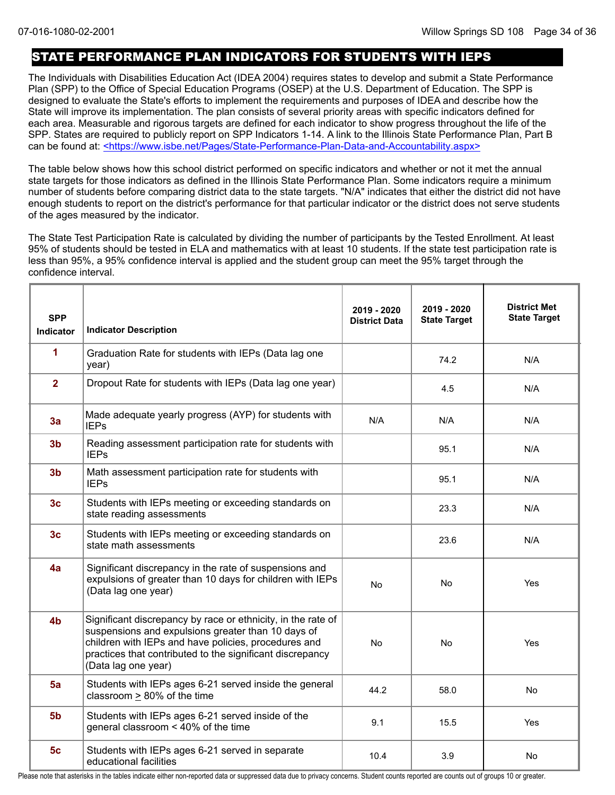### STATE PERFORMANCE PLAN INDICATORS FOR STUDENTS WITH IEPS

The Individuals with Disabilities Education Act (IDEA 2004) requires states to develop and submit a State Performance Plan (SPP) to the Office of Special Education Programs (OSEP) at the U.S. Department of Education. The SPP is designed to evaluate the State's efforts to implement the requirements and purposes of IDEA and describe how the State will improve its implementation. The plan consists of several priority areas with specific indicators defined for each area. Measurable and rigorous targets are defined for each indicator to show progress throughout the life of the SPP. States are required to publicly report on SPP Indicators 1-14. A link to the Illinois State Performance Plan, Part B can be found at: <https://www.isbe.net/Pages/State-Performance-Plan-Data-and-Accountability.aspx>

The table below shows how this school district performed on specific indicators and whether or not it met the annual state targets for those indicators as defined in the Illinois State Performance Plan. Some indicators require a minimum number of students before comparing district data to the state targets. "N/A" indicates that either the district did not have enough students to report on the district's performance for that particular indicator or the district does not serve students of the ages measured by the indicator.

The State Test Participation Rate is calculated by dividing the number of participants by the Tested Enrollment. At least 95% of students should be tested in ELA and mathematics with at least 10 students. If the state test participation rate is less than 95%, a 95% confidence interval is applied and the student group can meet the 95% target through the confidence interval.

| <b>SPP</b><br><b>Indicator</b> | <b>Indicator Description</b>                                                                                                                                                                                                                                   | 2019 - 2020<br><b>District Data</b> | 2019 - 2020<br><b>State Target</b> | <b>District Met</b><br><b>State Target</b> |
|--------------------------------|----------------------------------------------------------------------------------------------------------------------------------------------------------------------------------------------------------------------------------------------------------------|-------------------------------------|------------------------------------|--------------------------------------------|
| 1                              | Graduation Rate for students with IEPs (Data lag one<br>year)                                                                                                                                                                                                  |                                     | 74.2                               | N/A                                        |
| $\overline{2}$                 | Dropout Rate for students with IEPs (Data lag one year)                                                                                                                                                                                                        |                                     | 4.5                                | N/A                                        |
| 3a                             | Made adequate yearly progress (AYP) for students with<br><b>IEPs</b>                                                                                                                                                                                           | N/A                                 | N/A                                | N/A                                        |
| 3 <sub>b</sub>                 | Reading assessment participation rate for students with<br><b>IEPs</b>                                                                                                                                                                                         |                                     | 95.1                               | N/A                                        |
| 3 <sub>b</sub>                 | Math assessment participation rate for students with<br><b>IEPs</b>                                                                                                                                                                                            |                                     | 95.1                               | N/A                                        |
| 3 <sub>c</sub>                 | Students with IEPs meeting or exceeding standards on<br>state reading assessments                                                                                                                                                                              |                                     | 23.3                               | N/A                                        |
| 3 <sub>c</sub>                 | Students with IEPs meeting or exceeding standards on<br>state math assessments                                                                                                                                                                                 |                                     | 23.6                               | N/A                                        |
| 4a                             | Significant discrepancy in the rate of suspensions and<br>expulsions of greater than 10 days for children with IEPs<br>(Data lag one year)                                                                                                                     | <b>No</b>                           | No                                 | Yes                                        |
| 4 <sub>b</sub>                 | Significant discrepancy by race or ethnicity, in the rate of<br>suspensions and expulsions greater than 10 days of<br>children with IEPs and have policies, procedures and<br>practices that contributed to the significant discrepancy<br>(Data lag one year) | <b>No</b>                           | <b>No</b>                          | Yes                                        |
| 5a                             | Students with IEPs ages 6-21 served inside the general<br>classroom > 80% of the time                                                                                                                                                                          | 44.2                                | 58.0                               | No                                         |
| 5 <sub>b</sub>                 | Students with IEPs ages 6-21 served inside of the<br>general classroom < 40% of the time                                                                                                                                                                       | 9.1                                 | 15.5                               | Yes                                        |
| 5 <sub>c</sub>                 | Students with IEPs ages 6-21 served in separate<br>educational facilities                                                                                                                                                                                      | 10.4                                | 3.9                                | No                                         |

Please note that asterisks in the tables indicate either non-reported data or suppressed data due to privacy concerns. Student counts reported are counts out of groups 10 or greater.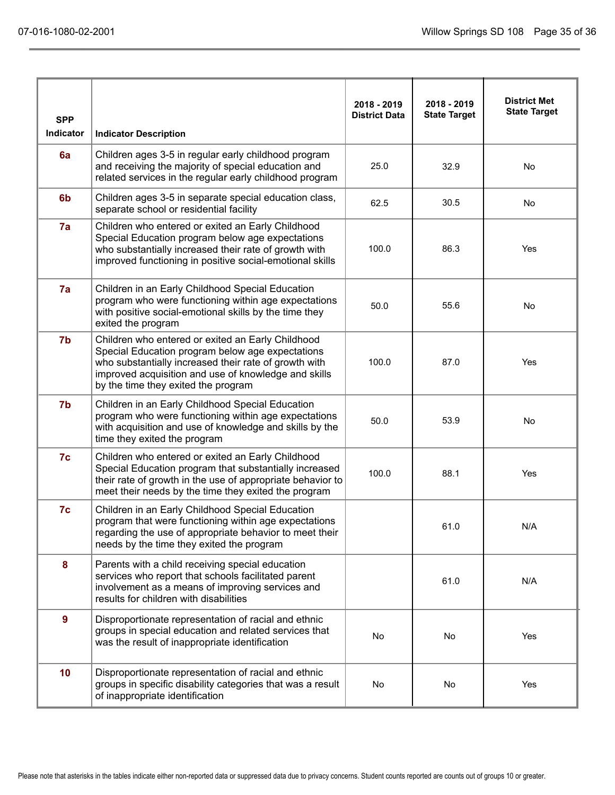| <b>SPP</b>       |                                                                                                                                                                                                                                                               | 2018 - 2019<br><b>District Data</b> | 2018 - 2019<br><b>State Target</b> | <b>District Met</b><br><b>State Target</b> |
|------------------|---------------------------------------------------------------------------------------------------------------------------------------------------------------------------------------------------------------------------------------------------------------|-------------------------------------|------------------------------------|--------------------------------------------|
| <b>Indicator</b> | <b>Indicator Description</b>                                                                                                                                                                                                                                  |                                     |                                    |                                            |
| 6a               | Children ages 3-5 in regular early childhood program<br>and receiving the majority of special education and<br>related services in the regular early childhood program                                                                                        | 25.0                                | 32.9                               | No                                         |
| 6 <sub>b</sub>   | Children ages 3-5 in separate special education class,<br>separate school or residential facility                                                                                                                                                             | 62.5                                | 30.5                               | <b>No</b>                                  |
| 7a               | Children who entered or exited an Early Childhood<br>Special Education program below age expectations<br>who substantially increased their rate of growth with<br>improved functioning in positive social-emotional skills                                    | 100.0                               | 86.3                               | Yes                                        |
| 7a               | Children in an Early Childhood Special Education<br>program who were functioning within age expectations<br>with positive social-emotional skills by the time they<br>exited the program                                                                      | 50.0                                | 55.6                               | No                                         |
| 7b               | Children who entered or exited an Early Childhood<br>Special Education program below age expectations<br>who substantially increased their rate of growth with<br>improved acquisition and use of knowledge and skills<br>by the time they exited the program | 100.0                               | 87.0                               | Yes                                        |
| 7b               | Children in an Early Childhood Special Education<br>program who were functioning within age expectations<br>with acquisition and use of knowledge and skills by the<br>time they exited the program                                                           | 50.0                                | 53.9                               | No                                         |
| 7c               | Children who entered or exited an Early Childhood<br>Special Education program that substantially increased<br>their rate of growth in the use of appropriate behavior to<br>meet their needs by the time they exited the program                             | 100.0                               | 88.1                               | Yes                                        |
| 7c               | Children in an Early Childhood Special Education<br>program that were functioning within age expectations<br>regarding the use of appropriate behavior to meet their<br>needs by the time they exited the program                                             |                                     | 61.0                               | N/A                                        |
| 8                | Parents with a child receiving special education<br>services who report that schools facilitated parent<br>involvement as a means of improving services and<br>results for children with disabilities                                                         |                                     | 61.0                               | N/A                                        |
| $\overline{9}$   | Disproportionate representation of racial and ethnic<br>groups in special education and related services that<br>was the result of inappropriate identification                                                                                               | No                                  | No                                 | Yes                                        |
| 10               | Disproportionate representation of racial and ethnic<br>groups in specific disability categories that was a result<br>of inappropriate identification                                                                                                         | No                                  | No                                 | Yes                                        |